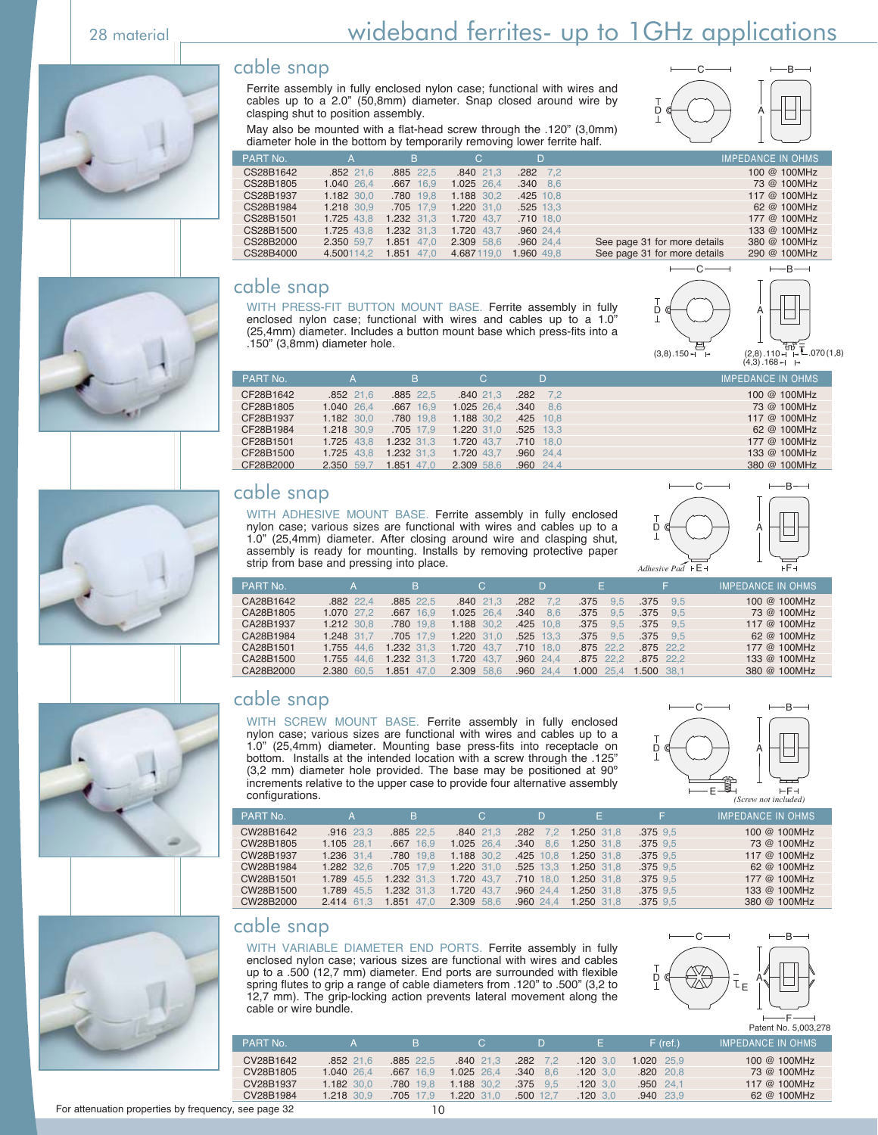#### cable snap

Ferrite assembly in fully enclosed nylon case; functional with wires and cables up to a 2.0" (50,8mm) diameter. Snap closed around wire by clasping shut to position assembly.



May also be mounted with a flat-head screw through the .120" (3,0mm) diameter hole in the bottom by temporarily removing lower ferrite half.

| PART No.  | А           | B             | C.         | D               |                              | <b>IMPEDANCE IN OHMS</b> |
|-----------|-------------|---------------|------------|-----------------|------------------------------|--------------------------|
| CS28B1642 | $.852$ 21.6 | .885 22.5     | .840 21.3  | $.282$ 7.2      |                              | 100 @ 100MHz             |
| CS28B1805 | 1.040 26.4  | .667 16.9     | 1.025 26.4 | $.340\quad 8.6$ |                              | 73 @ 100MHz              |
| CS28B1937 | 1.182 30.0  | .780 19.8     | 1.188 30.2 | $.425$ 10.8     |                              | 117 @ 100MHz             |
| CS28B1984 | 1.218 30.9  | .705 17.9     | 1.220 31.0 | .525 13.3       |                              | 62 @ 100MHz              |
| CS28B1501 | 1.725 43.8  | 1.232 31.3    | 1.720 43.7 | .710 18.0       |                              | 177 @ 100MHz             |
| CS28B1500 | 1.725 43.8  | 1.232 31.3    | 1.720 43.7 | .960 24.4       |                              | 133 @ 100MHz             |
| CS28B2000 | 2.350 59.7  | 1.851<br>47.0 | 2.309 58.6 | .960 24.4       | See page 31 for more details | 380 @ 100MHz             |
| CS28B4000 | 4.500114.2  | 1.851<br>47.0 | 4.687119.0 | 1.960 49.8      | See page 31 for more details | 290 @ 100MHz             |

#### cable snap

WITH PRESS-FIT BUTTON MOUNT BASE. Ferrite assembly in fully enclosed nylon case; functional with wires and cables up to a 1.0" (25,4mm) diameter. Includes a button mount base which press-fits into a .150" (3,8mm) diameter hole.





380 @ 100MHz





#### cable snap

WITH ADHESIVE MOUNT BASE. Ferrite assembly in fully enclosed nylon case; various sizes are functional with wires and cables up to a 1.0" (25,4mm) diameter. After closing around wire and clasping shut, assembly is ready for mounting. Installs by removing protective paper strip from base and pressing into place.



| PART No.  |            | B          | C.             | D           | F.          | F.          | <b>IMPEDANCE IN OHMS</b> |
|-----------|------------|------------|----------------|-------------|-------------|-------------|--------------------------|
| CA28B1642 | .882 22.4  | .885 22.5  | $.840\ 21.3$   | .282<br>7.2 | .375<br>9.5 | .375<br>9.5 | 100 @ 100MHz             |
| CA28B1805 | 1.070 27.2 | .667 16.9  | 1.025 26.4     | .340<br>8.6 | .375<br>9.5 | .375<br>9.5 | 73 @ 100MHz              |
| CA28B1937 | 1.212 30.8 | .780 19.8  | 1.188 30.2     | .425 10.8   | .375<br>9.5 | .375<br>9.5 | 117 @ 100MHz             |
| CA28B1984 | 1.248 31.7 | .705 17.9  | 1.220 31.0     | .525 13.3   | .375<br>9.5 | .375<br>9.5 | 62 @ 100MHz              |
| CA28B1501 | 1.755 44.6 | 1.232 31.3 | 1.720 43.7     | $.710$ 18.0 | .875 22.2   | .875 22.2   | 177 @ 100MHz             |
| CA28B1500 | 1.755 44.6 | 1.232 31.3 | 1.720<br>-43.7 | $.960$ 24.4 | .875 22.2   | .875 22.2   | 133 @ 100MHz             |
| CA28B2000 | 2.380 60.5 | 1.851 47.0 | 2.309 58.6     | $.960$ 24.4 | 1.000 25.4  | 1.500 38.1  | 380 @ 100MHz             |

#### cable snap

WITH SCREW MOUNT BASE. Ferrite assembly in fully enclosed nylon case; various sizes are functional with wires and cables up to a 1.0" (25,4mm) diameter. Mounting base press-fits into receptacle on bottom. Installs at the intended location with a screw through the .125" (3,2 mm) diameter hole provided. The base may be positioned at 90º increments relative to the upper case to provide four alternative assembly configurations.



| PART No.  | A           | B.           | C.           | D                  | F.         | F.           | <b>IMPEDANCE IN OHMS</b> |
|-----------|-------------|--------------|--------------|--------------------|------------|--------------|--------------------------|
| CW28B1642 | $.916$ 23.3 | $.885$ 22.5  | $.840\ 21.3$ | .282<br>$\sqrt{2}$ | 1.250 31.8 | $.375$ $9.5$ | 100 @ 100MHz             |
| CW28B1805 | 1.105 28.1  | .667 16.9    | 1.025 26.4   | .340<br>8.6        | 1.250 31.8 | $.375$ $9.5$ | 73 @ 100MHz              |
| CW28B1937 | 1.236 31.4  | .780 19.8    | 1.188 30.2   | $.425$ 10.8        | 1.250 31.8 | $.375$ $9.5$ | 117 @ 100MHz             |
| CW28B1984 | 1.282 32.6  | $.705$ 17.9  | 1.220 31.0   | $.525$ 13.3        | 1.250 31.8 | $.375$ $9.5$ | 62 @ 100MHz              |
| CW28B1501 | 1.789 45.5  | 1.232 31.3   | 1.720 43.7   | $.710$ 18.0        | 1.250 31.8 | $.375$ $9.5$ | 177 @ 100MHz             |
| CW28B1500 | 1.789 45.5  | 1.232 31.3   | 1.720 43.7   | .96024.4           | 1.250 31.8 | $.375$ $9.5$ | 133 @ 100MHz             |
| CW28B2000 | 2.414 61.3  | $1.851$ 47.0 | 2.309 58.6   | .960 24.4          | 1.250 31.8 | $.375$ $9.5$ | 380 @ 100MHz             |

#### cable snap

WITH VARIABLE DIAMETER END PORTS. Ferrite assembly in fully enclosed nylon case; various sizes are functional with wires and cables up to a .500 (12,7 mm) diameter. End ports are surrounded with flexible spring flutes to grip a range of cable diameters from .120" to .500" (3,2 to 12,7 mm). The grip-locking action prevents lateral movement along the cable or wire bundle.



F Patent No. 5,003,278

PART No. A B C D E F (ref.) IMPEDANCE IN OHMS CV28B1642 .852 21,6 .885 22,5 .840 21,3 .282 7,2 .120 3,0 1.020 25,9 100 @ 100MHz CV28B1805 1.040 26,4 .667 16,9 1.025 26,4 .340 8,6 .120 3,0 .820 20,8 73 @ 100MHz CV28B1937 1.182 30,0 .780 19,8 1.188 30,2 .375 9,5 .120 3,0 .950 24,1 117 @ 100MHz CV28B1984 1.218 30,9 .705 17,9 1.220 31,0 .500 12,7 .120 3,0 .940 23,9 62 @ 100MHz









For attenuation properties by frequency, see page 32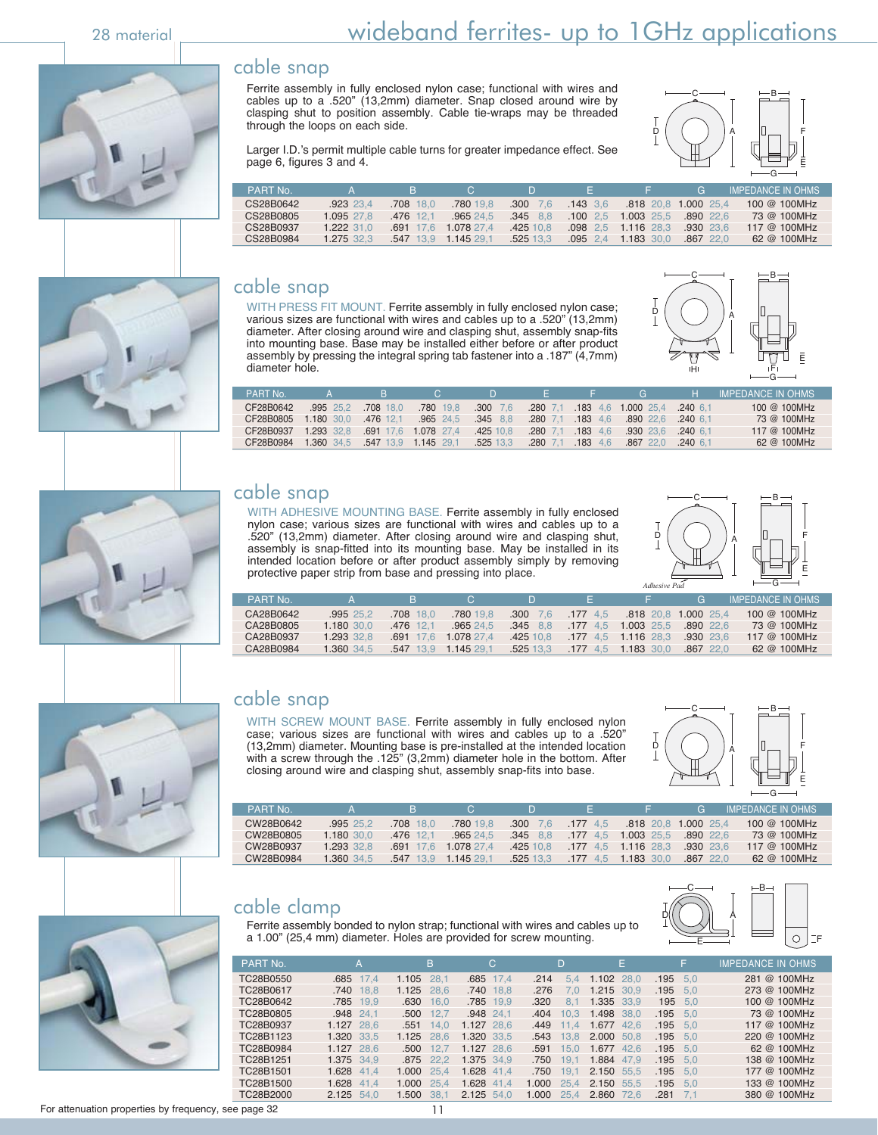#### cable snap

Ferrite assembly in fully enclosed nylon case; functional with wires and cables up to a .520" (13,2mm) diameter. Snap closed around wire by clasping shut to position assembly. Cable tie-wraps may be threaded through the loops on each side.



Larger I.D.'s permit multiple cable turns for greater impedance effect. See page 6, figures 3 and 4.

| PART No   |             |                      | $\mathbf{C}$ | Ð                | . н.       |              | G                    | IMPEDANCE IN OHMS |
|-----------|-------------|----------------------|--------------|------------------|------------|--------------|----------------------|-------------------|
| CS28B0642 | $.923$ 23.4 | $.708$ 18.0          | .780 19.8    | $.300 \quad 7.6$ | $.143$ 3.6 |              | .818 20.8 1.000 25.4 | 100 @ 100 MHz     |
| CS28B0805 | 1.095 27.8  | .476 12.1            | .965 24.5    | $.345$ $8.8$     | .100 2.5   | 1.003 25.5   | $.890$ 22.6          | 73 @ 100MHz       |
| CS28B0937 | 1.222 31.0  | $.691$ 17.6          | 1.078 27.4   | 425 10.8         | $.098$ 2.5 | $1.116$ 28.3 | $.930$ $23.6$        | 117 @ 100MHz      |
| CS28B0984 | 1.275 32.3  | .547 13.9 1.145 29.1 |              | .525 13.3        | $.095$ 2.4 | 1.183 30.0   | $.867$ 22.0          | 62 @ 100MHz       |

#### cable snap

WITH PRESS FIT MOUNT. Ferrite assembly in fully enclosed nylon case; various sizes are functional with wires and cables up to a .520" (13,2mm) diameter. After closing around wire and clasping shut, assembly snap-fits into mounting base. Base may be installed either before or after product assembly by pressing the integral spring tab fastener into a .187" (4,7mm) diameter hole.



| PART No   |             | R.          | $\mathbf{C}$ | D.          |            |            | $(\frac{1}{2})$                       | н.          | <b>IMPEDANCE IN OHMS</b> |
|-----------|-------------|-------------|--------------|-------------|------------|------------|---------------------------------------|-------------|--------------------------|
| CF28B0642 | $.995$ 25.2 | .708 18.0   | .780 19.8    | $.300$ 7.6  |            |            | .280 7.1 .183 4.6 1.000 25.4 .240 6.1 |             | 100 @ 100MHz             |
| CF28B0805 | 1.180 30.0  | .476 12.1   | $.965$ 24.5  | $.345$ 8.8  | $.280$ 7.1 | $.183$ 4.6 | .890 22.6                             | $.240\;6.1$ | 73 @ 100MHz              |
| CF28B0937 | 1.293 32.8  | .691 17.6   | 1.078 27.4   | .42510.8    | $.280$ 7.1 | $.183$ 4.6 | .930 23.6                             | $.240\;6.1$ | 117 @ 100MHz             |
| CF28B0984 | 1.360 34.5  | $.547$ 13.9 | 1.145 29.1   | $.525$ 13.3 | $.280$ 7.1 | $.183$ 4.6 | .867 22.0                             | $.240\;6.1$ | 62 @ 100MHz              |

#### cable snap

WITH ADHESIVE MOUNTING BASE. Ferrite assembly in fully enclosed nylon case; various sizes are functional with wires and cables up to a .520" (13,2mm) diameter. After closing around wire and clasping shut, assembly is snap-fitted into its mounting base. May be installed in its intended location before or after product assembly simply by removing protective paper strip from base and pressing into place.



| PART No.  |            | н.          |            |                  |            |            | 4 E.Z               | IMPEDANCE IN OHMS . |
|-----------|------------|-------------|------------|------------------|------------|------------|---------------------|---------------------|
| CA28B0642 | .99525.2   | .708 18.0   | .780 19.8  | $.300 \quad 7.6$ | $.177$ 4.5 |            | 818 20.8 1.000 25.4 | 100 @ 100 MHz       |
| CA28B0805 | 1.180 30.0 | .476 12.1   | .96524.5   | $.345$ $8.8$     | $.177$ 4.5 | 1.003 25.5 | 890, 226            | 73 @ 100MHz         |
| CA28B0937 | 1.293 32.8 | 691<br>-176 | 1.078 27.4 | .42510.8         | 177 45     | 1.116 28.3 | $.930$ 23.6         | 117 @ 100MHz        |
| CA28B0984 | 1.360 34.5 | .547 13.9   | 1.145 29.1 | .525 13.3        | $.177$ 4.5 | 1.183 30.0 | $.867$ 22.0         | $62 \& 100$ MHz     |



#### cable snap

WITH SCREW MOUNT BASE. Ferrite assembly in fully enclosed nylon case; various sizes are functional with wires and cables up to a .520" (13,2mm) diameter. Mounting base is pre-installed at the intended location with a screw through the .125" (3,2mm) diameter hole in the bottom. After closing around wire and clasping shut, assembly snap-fits into base.



| <b>PART No</b> |            | н           |            |                  |            |                       | <b>G</b>            | I IMPEDANCE IN OHMS |
|----------------|------------|-------------|------------|------------------|------------|-----------------------|---------------------|---------------------|
| CW28B0642      | .995 25.2  | 708 18.0    | .780 19.8  | $.300 \quad 7.6$ | $.177$ 4.5 |                       | 818 20.8 1.000 25.4 | 100 @ 100MHz        |
| CW28B0805      | 1.180 30.0 | .476 12.1   | .965 24.5  | $.345$ 8.8       | .1774.5    | 1.003 25.5            | $.890$ 22.6         | 73 @ 100MHz         |
| CW28B0937      | 1.293 32.8 | 691 176     | 1.078 27.4 | .425 10.8        |            | $.177$ 4.5 1.116 28.3 | $.930$ 23.6         | 117 @ 100MHz        |
| CW28B0984      | 1.360 34.5 | $.547$ 13.9 | 1.145 29.1 | .525 13.3        | $.177$ 4.5 | 1.183 30.0            | $.867$ 22.0         | $62 \& 100$ MHz     |
|                |            |             |            |                  |            |                       |                     |                     |



cable clamp





| PART No.  | A          | B             | C.            | D.            | E             | F             | <b>IMPEDANCE IN OHMS</b> |
|-----------|------------|---------------|---------------|---------------|---------------|---------------|--------------------------|
| TC28B0550 | .685 17.4  | 1.105 28.1    | .685 17.4     | .214<br>5.4   | 1.102 28.0    | .195<br>5.0   | 281 @ 100MHz             |
| TC28B0617 | .740 18.8  | 1.125 28.6    | .740 18.8     | .276<br>7.0   | 1.215 30.9    | .195<br>5.0   | 273 @ 100MHz             |
| TC28B0642 | .785 19.9  | .630<br>16.0  | .785 19.9     | .320<br>8.1   | 1.335 33.9    | 195 5.0       | 100 @ 100MHz             |
| TC28B0805 | .948 24.1  | .500<br>12.7  | $.948$ 24,1   | .404<br>10.3  | 1.498 38,0    | .195<br>- 5.0 | 73 @ 100MHz              |
| TC28B0937 | 1.127 28.6 | .551<br>14.0  | 1.127 28.6    | .449<br>11.4  | 1.677 42.6    | .195<br>5.0   | 117 @ 100MHz             |
| TC28B1123 | 1.320 33.5 | 1.125 28.6    | 1.320 33.5    | .543<br>13.8  | 2.000 50.8    | .195<br>5.0   | 220 @ 100MHz             |
| TC28B0984 | 1.127 28.6 | .500<br>12.7  | 1.127 28.6    | .591<br>15.0  | 1.677<br>42.6 | .195<br>5.0   | $62 \& 100$ MHz          |
| TC28B1251 | 1.375 34.9 | .875 22.2     | 1.375 34.9    | .750<br>19.1  | 1.884 47.9    | .195<br>5.0   | 138 @ 100MHz             |
| TC28B1501 | 1.628 41.4 | 1.000<br>25.4 | 1.628 41.4    | .750<br>19.1  | 2.150<br>55.5 | .195<br>5.0   | 177 @ 100MHz             |
| TC28B1500 | 1.628 41.4 | 1.000 25.4    | 1.628<br>41.4 | 1.000<br>25.4 | 2.150 55.5    | .195<br>5.0   | 133 @ 100MHz             |
| TC28B2000 | 2.125 54.0 | 1.500<br>38.1 | 2.125 54.0    | 1.000<br>25.4 | 2.860 72.6    | .281<br>7.1   | 380 @ 100MHz             |

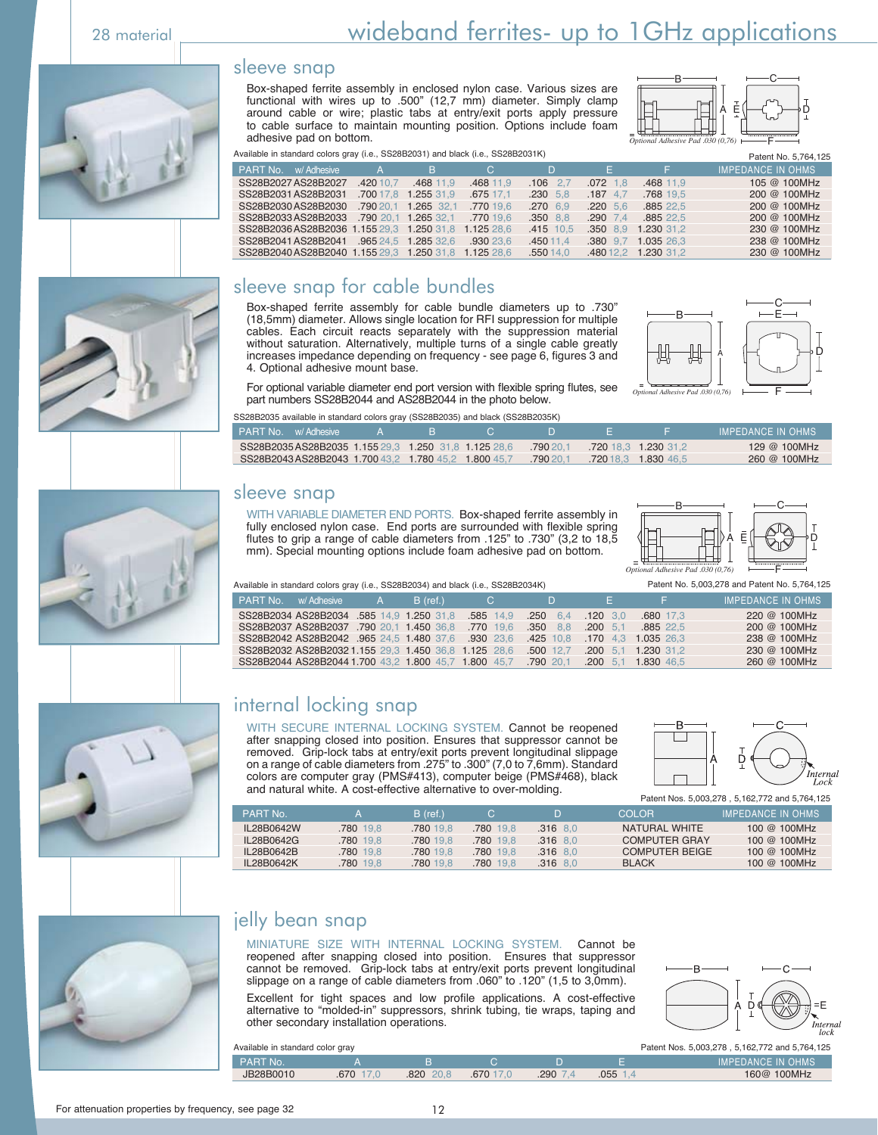#### sleeve snap

Box-shaped ferrite assembly in enclosed nylon case. Various sizes are functional with wires up to .500" (12,7 mm) diameter. Simply clamp around cable or wire; plastic tabs at entry/exit ports apply pressure to cable surface to maintain mounting position. Options include foam adhesive pad on bottom. *Optional Adhesive Pad .030 (0,76)*



Available in standard colors gray (i.e., SS28B2031) and black (i.e., SS28B2031K) Patent No. 5,764,125

| <b>PART No.</b> w/ Adhesive                          | $\overline{A}$ |                     | $\overline{B}$ c | $D -$            | <b>All Branch</b> | . E .               | <b>IMPEDANCE IN OHMS</b> |
|------------------------------------------------------|----------------|---------------------|------------------|------------------|-------------------|---------------------|--------------------------|
| SS28B2027AS28B2027                                   | .420 10.7      | .468 11.9           | .468 11.9        | $.106$ 2.7       | $.072$ 1.8        | .468 11.9           | 105 @ 100MHz             |
| SS28B2031 AS28B2031                                  | .700 17.8      | 1.255 31.9          | .675 17.1        | $.230 \quad 5.8$ | $.187$ 4.7        | .768 19.5           | 200 @ 100MHz             |
| SS28B2030 AS28B2030                                  |                | 790 20.1 1.265 32.1 | .770 19.6        | $.270$ 6.9       | $.220\ 5.6$       | .885 22.5           | 200 @ 100MHz             |
| SS28B2033AS28B2033 .790 20.1 1.265 32.1              |                |                     | .770 19.6        | $.350$ $8.8$     | $.290$ 7.4        | .885 22.5           | 200 @ 100MHz             |
| SS28B2036AS28B2036 1.155 29.3 1.250 31.8 1.125 28.6  |                |                     |                  | .415 10.5        |                   | .350 8.9 1.230 31.2 | 230 @ 100MHz             |
| SS28B2041 AS28B2041 .965 24.5 1.285 32.6 .930 23.6   |                |                     |                  | .450 11.4        |                   | .380 9.7 1.035 26.3 | 238 @ 100MHz             |
| SS28B2040 AS28B2040 1.155 29.3 1.250 31.8 1.125 28.6 |                |                     |                  | .550 14.0        |                   | 480 12.2 1.230 31.2 | 230 @ 100MHz             |

#### sleeve snap for cable bundles

Box-shaped ferrite assembly for cable bundle diameters up to .730" (18,5mm) diameter. Allows single location for RFI suppression for multiple cables. Each circuit reacts separately with the suppression material without saturation. Alternatively, multiple turns of a single cable greatly increases impedance depending on frequency - see page 6, figures 3 and 4. Optional adhesive mount base.



For optional variable diameter end port version with flexible spring flutes, see part numbers SS28B2044 and AS28B2044 in the photo below.

| SS28B2035 available in standard colors gray (SS28B2035) and black (SS28B2035K) |  |  |  |
|--------------------------------------------------------------------------------|--|--|--|
|                                                                                |  |  |  |

| PART No. w/Adhesive                                 |  |            |                      | IMPEDANCE IN OHMS |
|-----------------------------------------------------|--|------------|----------------------|-------------------|
| SS28B2035AS28B2035 1.155 29.3 1.250 31.8 1.125 28.6 |  | $-79020.1$ | .720 18.3 1.230 31.2 | 129 @ 100MHz      |
| SS28B2043AS28B2043 1.700 43.2 1.780 45.2 1.800 45.7 |  | $-79020.1$ | 72018.3 1.830 46.5   | 260 @ 100MHz      |

#### sleeve snap

WITH VARIABLE DIAMETER END PORTS. Box-shaped ferrite assembly in fully enclosed nylon case. End ports are surrounded with flexible spring flutes to grip a range of cable diameters from .125" to .730" (3,2 to 18,5 mm). Special mounting options include foam adhesive pad on bottom.



Available in standard colors gray (i.e., SS28B2034) and black (i.e., SS28B2034K) Patent No. 5,003,278 and Patent No. 5,764,125

|                                       |  | $\frac{1}{2}$ and $\frac{1}{2}$ are not and the second state $\frac{1}{2}$ and $\frac{1}{2}$ and $\frac{1}{2}$ and $\frac{1}{2}$ are $\frac{1}{2}$ and $\frac{1}{2}$ are $\frac{1}{2}$ and $\frac{1}{2}$ and $\frac{1}{2}$ are $\frac{1}{2}$ and $\frac{1}{2}$ are $\frac{1}{2}$ and |                          |                     |                          |
|---------------------------------------|--|--------------------------------------------------------------------------------------------------------------------------------------------------------------------------------------------------------------------------------------------------------------------------------------|--------------------------|---------------------|--------------------------|
| <b>PART No.</b> W/Adhesive A B (ref.) |  | <b>C</b> D                                                                                                                                                                                                                                                                           | and the Figure of Figure |                     | <b>IMPEDANCE IN OHMS</b> |
|                                       |  | SS28B2034 AS28B2034 .585 14,9 1.250 31.8 .585 14,9 .250 6.4 .120 3.0                                                                                                                                                                                                                 |                          | .680 17.3           | 220 @ 100MHz             |
|                                       |  | SS28B2037 AS28B2037 790 20.1 1.450 36.8 770 19.6 350 8.8 .200 5.1 .885 22.5                                                                                                                                                                                                          |                          |                     | 200 @ 100MHz             |
|                                       |  | SS28B2042 AS28B2042 .965 24.5 1.480 37.6 .930 23.6 425 10.8 .170 4.3 1.035 26.3                                                                                                                                                                                                      |                          |                     | 238 @ 100MHz             |
|                                       |  | SS28B2032 AS28B2032 1.155 29.3 1.450 36.8 1.125 28.6 .500 12.7                                                                                                                                                                                                                       |                          | .200 5.1 1.230 31.2 | 230 @ 100MHz             |
|                                       |  | SS28B2044 AS28B2044 1.700 43.2 1.800 45.7 1.800 45.7 790 20.1 .200 5.1 1.830 46.5                                                                                                                                                                                                    |                          |                     | 260 @ 100MHz             |

## internal locking snap

WITH SECURE INTERNAL LOCKING SYSTEM. Cannot be reopened after snapping closed into position. Ensures that suppressor cannot be removed. Grip-lock tabs at entry/exit ports prevent longitudinal slippage on a range of cable diameters from .275" to .300" (7,0 to 7,6mm). Standard colors are computer gray (PMS#413), computer beige (PMS#468), black and natural white. A cost-effective alternative to over-molding.



Patent Nos. 5,003,278 , 5,162,772 and 5,764,125

| PART No.   |                 | $B$ (ref.) |           |            | COI OR                | <b>IMPEDANCE IN OHMS</b> |
|------------|-----------------|------------|-----------|------------|-----------------------|--------------------------|
| IL28B0642W | 780 19.8        | .780 19.8  | 780 19.8  | $.316$ 8.0 | NATURAL WHITE         | 100 @ 100MHz             |
| IL28B0642G | <b>780</b> 19.8 | 780 19.8   | 780 19.8  | $.316$ 8.0 | <b>COMPUTER GRAY</b>  | 100 @ 100MHz             |
| IL28B0642B | 780 19.8        | 780 19.8   | 780 19.8  | $.316$ 8.0 | <b>COMPUTER BEIGE</b> | 100 @ 100MHz             |
| IL28B0642K | <b>780</b> 19.8 | .780 19.8  | .780 19.8 | $.316$ 8.0 | <b>BI ACK</b>         | 100 @ 100MHz             |
|            |                 |            |           |            |                       |                          |



#### jelly bean snap

MINIATURE SIZE WITH INTERNAL LOCKING SYSTEM. Cannot be reopened after snapping closed into position. Ensures that suppressor cannot be removed. Grip-lock tabs at entry/exit ports prevent longitudinal slippage on a range of cable diameters from .060" to .120" (1,5 to 3,0mm). Excellent for tight spaces and low profile applications. A cost-effective alternative to "molded-in" suppressors, shrink tubing, tie wraps, taping and other secondary installation operations.



| Available in standard color gray |           |          |          |             |          | Patent Nos. 5,003,278, 5,162,772 and 5,764,125 |
|----------------------------------|-----------|----------|----------|-------------|----------|------------------------------------------------|
| PART No.                         |           |          |          |             |          | <b>IMPEDANCE IN OHMS</b>                       |
| JB28B0010                        | .670 17.0 | .82020.8 | 670 17 0 | $.290\,7.4$ | $.055 -$ | 160@ 100MHz                                    |





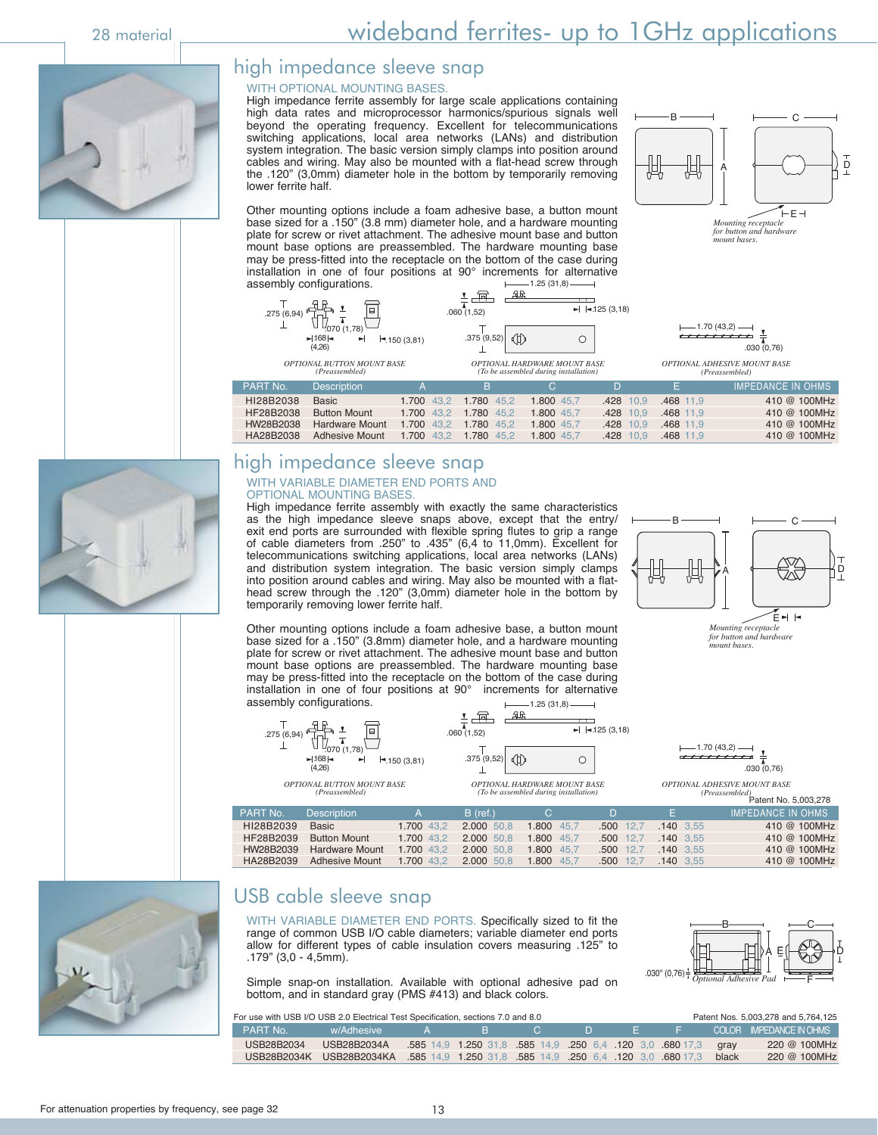#### high impedance sleeve snap

#### WITH OPTIONAL MOUNTING BASES.

High impedance ferrite assembly for large scale applications containing high data rates and microprocessor harmonics/spurious signals well beyond the operating frequency. Excellent for telecommunications switching applications, local area networks (LANs) and distribution system integration. The basic version simply clamps into position around cables and wiring. May also be mounted with a flat-head screw through the .120" (3,0mm) diameter hole in the bottom by temporarily removing lower ferrite half.



Other mounting options include a foam adhesive base, a button mount base sized for a .150" (3.8 mm) diameter hole, and a hardware mounting plate for screw or rivet attachment. The adhesive mount base and button mount base options are preassembled. The hardware mounting base may be press-fitted into the receptacle on the bottom of the case during installation in one of four positions at 90° increments for alternative  $-1.25(31,8)$ 





*mount bases.*

*OPTIONAL ADHESIVE MOUNT BASE (Preassembled)*

| <b>PART No.</b> | <b>Description</b>                   | $\Delta$              | в.                    | $\mathbf{C}$ | - 10               |             | IMPEDANCE IN OHMS |
|-----------------|--------------------------------------|-----------------------|-----------------------|--------------|--------------------|-------------|-------------------|
| HI28B2038       | Basic                                |                       | 1.700 43.2 1.780 45.2 | 1.800 45.7   | 428 10.9 .468 11.9 |             | 410 @ 100MHz      |
| HF28B2038       | <b>Button Mount</b>                  |                       | 1.700 43.2 1.780 45.2 | 1.800 45.7   | .428 10.9          | .468 11.9   | 410 @ 100MHz      |
| HW28B2038       | <b>Hardware Mount</b>                | 1.700 43.2 1.780 45.2 |                       | 1.800 45.7   | .428 10.9          | $.468$ 11.9 | 410 @ 100MHz      |
| HA28B2038       | Adhesive Mount 1.700 43.2 1.780 45.2 |                       |                       | 1.800 45.7   | $.428$ 10.9        | 468 11.9    | 410 @ 100MHz      |

## high impedance sleeve snap

#### WITH VARIABLE DIAMETER END PORTS AND OPTIONAL MOUNTING BASES.

High impedance ferrite assembly with exactly the same characteristics as the high impedance sleeve snaps above, except that the entry/ exit end ports are surrounded with flexible spring flutes to grip a range of cable diameters from .250" to .435" (6,4 to 11,0mm). Excellent for telecommunications switching applications, local area networks (LANs) and distribution system integration. The basic version simply clamps into position around cables and wiring. May also be mounted with a flathead screw through the .120" (3,0mm) diameter hole in the bottom by temporarily removing lower ferrite half.



*Mounting receptacle for button and hardware mount bases.*

 $B$  —  $-C$ 

A E⊩t‰ad do

Other mounting options include a foam adhesive base, a button mount base sized for a .150" (3.8mm) diameter hole, and a hardware mounting plate for screw or rivet attachment. The adhesive mount base and button mount base options are preassembled. The hardware mounting base may be press-fitted into the receptacle on the bottom of the case during installation in one of four positions at 90° increments for alternative assembly configurations.  $-1.25(31.8)$ 



| <del>,,,,,,,,,</del> ,              |             |
|-------------------------------------|-------------|
|                                     | .030(0.76)  |
| <b>OPTIONAL ADHESIVE MOUNT BASE</b> |             |
| (Preassembled)                      | Patent No 5 |

 $.030$ "  $(0.76)$  =

|           |                       |              |            |            |             |             | Patent No. 5,003,278     |
|-----------|-----------------------|--------------|------------|------------|-------------|-------------|--------------------------|
| PART No.  | <b>Description</b>    | $\mathsf{A}$ | $B$ (ref.) | C.         |             | - 5         | <b>IMPEDANCE IN OHMS</b> |
| HI28B2039 | Basic                 | 1.700 43.2   | 2.000 50.8 | 1.800 45.7 | $.500$ 12.7 | $.140$ 3.55 | 410 @ 100MHz             |
| HF28B2039 | <b>Button Mount</b>   | 1.700 43.2   | 2.000 50.8 | 1.800 45.7 | .500 12.7   | $.140$ 3.55 | 410 @ 100MHz             |
| HW28B2039 | <b>Hardware Mount</b> | 1.700 43.2   | 2.000 50.8 | 1.800 45.7 | .500 12.7   | $.140$ 3.55 | 410 @ 100MHz             |
| HA28B2039 | Adhesive Mount        | 1.700 43.2   | 2.000 50.8 | 1.800 45.7 | .500 12.7   | $.140$ 3.55 | 410 @ 100MHz             |



#### USB cable sleeve snap

WITH VARIABLE DIAMETER END PORTS. Specifically sized to fit the range of common USB I/O cable diameters; variable diameter end ports allow for different types of cable insulation covers measuring .125" to .179" (3,0 - 4,5mm).

Simple snap-on installation. Available with optional adhesive pad on bottom, and in standard gray (PMS #413) and black colors.

For use with USB I/O USB 2.0 Electrical Test Specification, sections 7.0 and 8.0 Patent Nos. 5,003,278 and 5,764,125

| LPART No.  | w/Adhesive                                                                                |  |  |  | LOCOLOR IMPEDANCE IN OHMS |
|------------|-------------------------------------------------------------------------------------------|--|--|--|---------------------------|
| USB28B2034 | / USB28B2034A   585 14,9 1.250 31,8 585 14,9 .250 6,4 .120 3,0 680 17,3 qray              |  |  |  | 220 @ 100MHz              |
|            | USB28B2034K USB28B2034KA .585 14.9 1.250 31.8 .585 14.9 .250 6.4 .120 3.0 .680 17.3 black |  |  |  | 220 @ 100MHz              |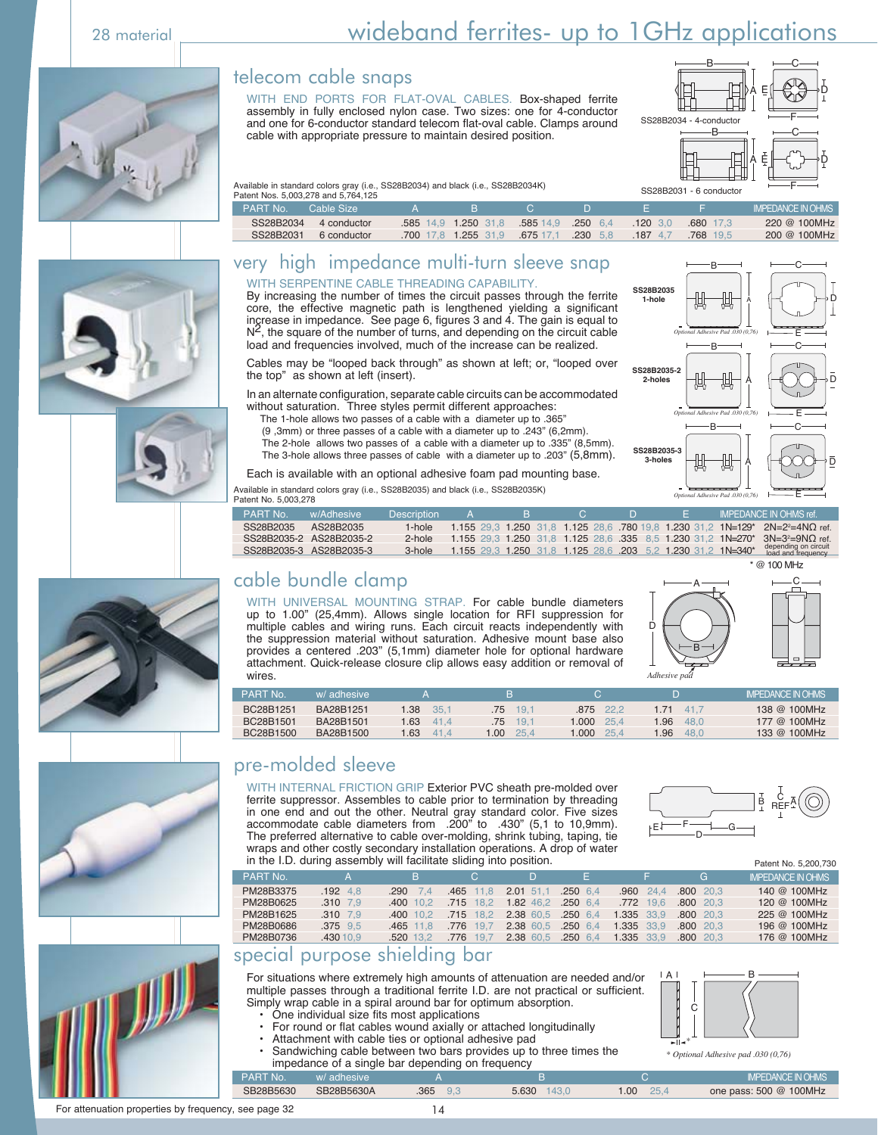# 28 material <u>successor wideband ferrites-</u> up to 1GHz applications

#### telecom cable snaps

WITH END PORTS FOR FLAT-OVAL CABLES. Box-shaped ferrite assembly in fully enclosed nylon case. Two sizes: one for 4-conductor and one for 6-conductor standard telecom flat-oval cable. Clamps around cable with appropriate pressure to maintain desired position.



B

B

*Optional Adhesive Pad .030 (0,76)*

B

*Optional Adhesive Pad .030 (0,76)*

A

A

**SS28B2035 1-hole** 

**SS28B2035-2 2-holes** 

**SS28B2035-3 3-holes** 

A |├─【 )──♪D

C

E

C

E

D

D

C

Available in standard colors gray (i.e., SS28B2034) and black (i.e., SS28B2034K) Patent Nos. 5,003,278 and 5,764,125

|                |  | αιν⊓ι ⊓າບ⊍. ບ.ບບບ. <i>∟⊩</i> ∪ α⊓α ບ. <i>ι</i> ບ⊤. ⊓∟ບ |  |
|----------------|--|--------------------------------------------------------|--|
| <b>DADT NA</b> |  | $C0$ blo Cizo                                          |  |

| <b>PART No.</b><br>Cable Size |                     |                                         |                    |            |                  | <b>IMPEDANCE IN OHMS</b> |
|-------------------------------|---------------------|-----------------------------------------|--------------------|------------|------------------|--------------------------|
| SS28B2034<br>4 conductor      | 585 14.9 1.250 31.8 |                                         | .585 14.9 .250 6.4 | $.120$ 3.0 | $.680$ 17.3      | 220 @ 100MHz             |
| SS28B2031<br>6 conductor      |                     | .700 17.8 1.255 31.9 .675 17.1 .230 5.8 |                    |            | 187 4.7 768 19.5 | 200 @ 100MHz             |

#### very high impedance multi-turn sleeve snap











WITH SERPENTINE CABLE THREADING CAPABILITY. By increasing the number of times the circuit passes through the ferrite core, the effective magnetic path is lengthened yielding a significant increase in impedance. See page 6, figures 3 and 4. The gain is equal to  $N^2$ , the square of the number of turns, and depending on the circuit cable load and frequencies involved, much of the increase can be realized.

Cables may be "looped back through" as shown at left; or, "looped over the top" as shown at left (insert).

In an alternate configuration, separate cable circuits can be accommodated without saturation. Three styles permit different approaches:

- The 1-hole allows two passes of a cable with a diameter up to .365"
- (9 ,3mm) or three passes of a cable with a diameter up to .243" (6,2mm). The 2-hole allows two passes of a cable with a diameter up to .335" (8,5mm). The 3-hole allows three passes of cable with a diameter up to .203" (5,8mm).

Each is available with an optional adhesive foam pad mounting base.

Available in standard colors gray (i.e., SS28B2035) and black (i.e., SS28B2035K)

| Avallable III stariuaru colors yray (i.e., OOZODZOOO) ariu blach (i.e., OOZODZOOON)<br>Optional Adhesive Pad .030 (0,76) $\longleftarrow$ $\longleftarrow$ $\longleftarrow$ $\longleftarrow$<br>Patent No. 5.003.278 |                                                                                          |  |  |  |  |  |  |  |
|----------------------------------------------------------------------------------------------------------------------------------------------------------------------------------------------------------------------|------------------------------------------------------------------------------------------|--|--|--|--|--|--|--|
|                                                                                                                                                                                                                      | Description A B C D E IMPEDANCE IN OHMS ref.                                             |  |  |  |  |  |  |  |
|                                                                                                                                                                                                                      | 1.155 29.3 1.250 31.8 1.125 28.6 780 19.8 1.230 31.2 1N=129* 2N=2 <sup>2</sup> =4NQ ref. |  |  |  |  |  |  |  |
|                                                                                                                                                                                                                      | 1.155 29.3 1.250 31.8 1.125 28.6 .335 8.5 1.230 31.2 1N=270* 3N=3 <sup>2</sup> =9NQ ref. |  |  |  |  |  |  |  |
| 1.155 29.3 1.250 31.8 1.125 28.6 .203 5.2 1.230 31.2 1N=340*                                                                                                                                                         | depending on circuit<br>load and frequency                                               |  |  |  |  |  |  |  |
|                                                                                                                                                                                                                      |                                                                                          |  |  |  |  |  |  |  |

## cable bundle clamp

WITH UNIVERSAL MOUNTING STRAP. For cable bundle diameters up to 1.00" (25,4mm). Allows single location for RFI suppression for multiple cables and wiring runs. Each circuit reacts independently with the suppression material without saturation. Adhesive mount base also provides a centered .203" (5,1mm) diameter hole for optional hardware attachment. Quick-release closure clip allows easy addition or removal of wires.



BC28B1251 BA28B1251 1.38 35,1 75 19,1 .875 22,2 1.71 41,7 138 @ 100MHz BC28B1501 BA28B1501 1.63 41,4 75 19,1 1.000 25,4 1.96 48,0 177 @ 100MHz<br>BC28B1500 BA28B1500 1.63 41.4 1.00 25.4 1.000 25.4 1.96 48.0 133 @ 100MHz 133 @ 100MHz PART No. w/ adhesive A B C D IMPEDANCE IN OHMS

## pre-molded sleeve

WITH INTERNAL FRICTION GRIP Exterior PVC sheath pre-molded over ferrite suppressor. Assembles to cable prior to termination by threading in one end and out the other. Neutral gray standard color. Five sizes accommodate cable diameters from .200" to .430" (5,1 to 10,9mm). The preferred alternative to cable over-molding, shrink tubing, taping, tie wraps and other costly secondary installation operations. A drop of water



|           | in the I.D. during assembly will facilitate sliding into position. |                |             |                    |            |             |             | Patent No. 5,200,730     |
|-----------|--------------------------------------------------------------------|----------------|-------------|--------------------|------------|-------------|-------------|--------------------------|
| PART No.  | $\mathbf{A}$                                                       | B.             | C.          |                    | E.         |             | G           | <b>IMPEDANCE IN OHMS</b> |
| PM28B3375 | $.192$ 4.8                                                         | $.290 \pm 7.4$ | $.465$ 11.8 | $2.01$ 51.1        | $.250$ 6.4 | $.960$ 24.4 | $.800$ 20.3 | 140 @ 100MHz             |
| PM28B0625 | $.310$ $7.9$                                                       | $.400$ 10.2    | $.715$ 18.2 | 1.82 46.2 .250 6.4 |            | $.772$ 19.6 | $.800$ 20.3 | 120 @ 100MHz             |
| PM28B1625 | $.310$ $7.9$                                                       | $.400$ 10.2    | $.715$ 18.2 | 2.38 60.5 .250 6.4 |            | 1.335 33.9  | $.800$ 20.3 | 225 @ 100MHz             |
| PM28B0686 | $.375$ $9.5$                                                       | $.465$ 11.8    | .776 19.7   | 2.38 60.5 .250 6.4 |            | 1.335 33.9  | $.800$ 20.3 | 196 @ 100MHz             |
| PM28B0736 | .430 10.9                                                          | $.520$ 13.2    | .776 19.7   | 2.38 60.5 .250 6.4 |            | 1.335 33.9  | $.800$ 20.3 | 176 @ 100MHz             |

#### special purpose shielding bar

For situations where extremely high amounts of attenuation are needed and/or multiple passes through a traditional ferrite I.D. are not practical or sufficient. Simply wrap cable in a spiral around bar for optimum absorption.

- One individual size fits most applications
- For round or flat cables wound axially or attached longitudinally<br>• Attachment with cable ties or ontional adhesive pad
- Attachment with cable ties or optional adhesive pad
- Sandwiching cable between two bars provides up to three times the impedance of a single bar depending on frequency



*\* Optional Adhesive pad .030 (0,76)*

SB28B5630 SB28B5630A .365 9,3 5.630 143,0 1.00 25,4 one pass: 500 @ 100MHz IMPEDANCE IN OHMS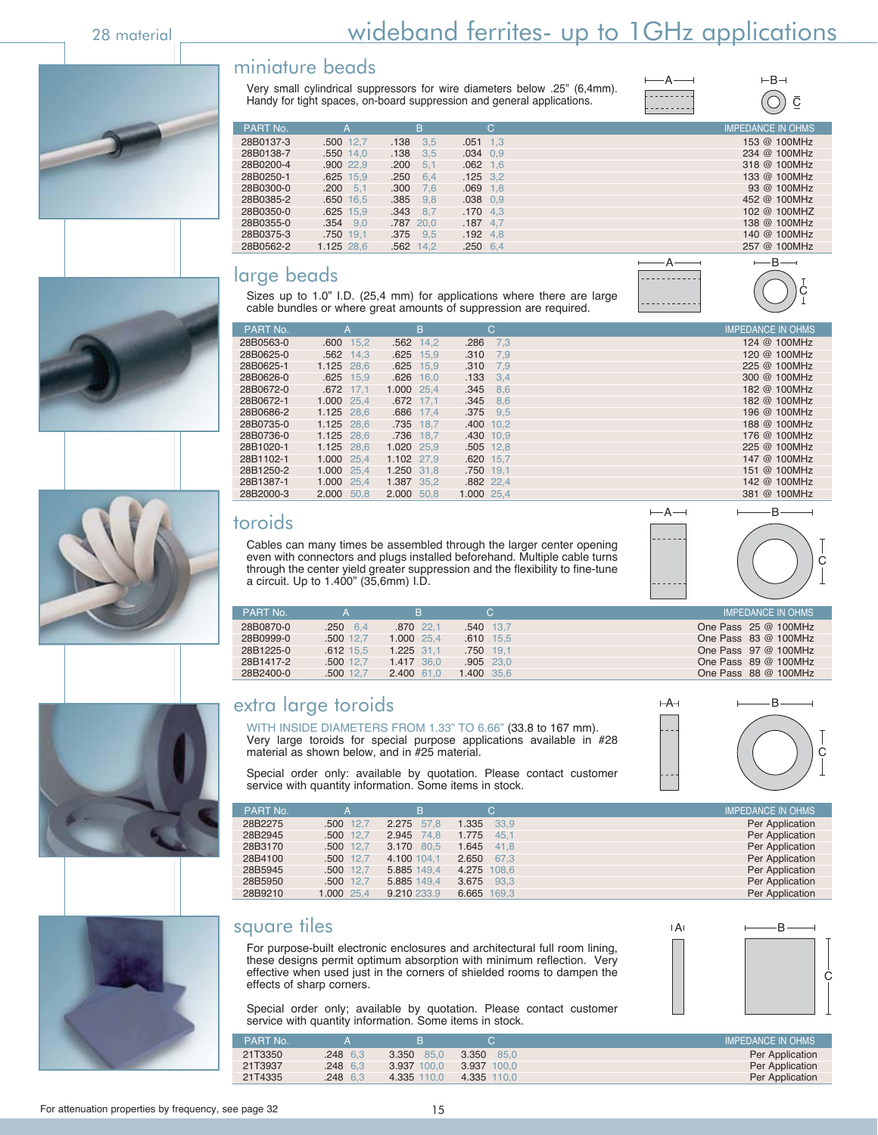# 28 material <u>Constants and the wideband ferrites- up to 1GHz applications</u>

#### miniature beads

Very small cylindrical suppressors for wire diameters below .25" (6,4mm). Handy for tight spaces, on-board suppression and general applications.

| A       | $\vdash$ B |
|---------|------------|
| $- - -$ |            |
|         |            |

 $\overline{\underline{C}}$ 

C

**B** 









| PART No.  | А                | в              | C                | <b>IMPEDANCE IN OHMS</b> |
|-----------|------------------|----------------|------------------|--------------------------|
| 28B0137-3 | .500 12.7        | .138<br>3.5    | $.051$ 1.3       | 153 @ 100MHz             |
| 28B0138-7 | .550 14.0        | .138<br>3.5    | $.034$ 0.9       | 234 @ 100MHz             |
| 28B0200-4 | .900 22.9        | .200<br>$-5.1$ | $.062$ 1.6       | 318 @ 100MHz             |
| 28B0250-1 | $.625$ 15.9      | .250<br>6.4    | $.125$ 3.2       | 133 @ 100MHz             |
| 28B0300-0 | $.200 \quad 5.1$ | .300<br>7.6    | $.069$ 1.8       | 93 @ 100MHz              |
| 28B0385-2 | .650 16.5        | $.385$ $9.8$   | $.038$ 0.9       | 452 @ 100MHz             |
| 28B0350-0 | $.625$ 15.9      | $.343$ 8.7     | $.170$ 4.3       | 102 @ 100MHZ             |
| 28B0355-0 | $.354$ $9.0$     | .787 20.0      | $.187$ 4.7       | 138 @ 100MHz             |
| 28B0375-3 | .750 19.1        | $.375$ $9.5$   | $.192 \quad 4.8$ | 140 @ 100MHz             |
| 28B0562-2 | 1.125 28.6       | .562 14.2      | $.250$ 6.4       | 257 @ 100MHz             |

#### large beads



Sizes up to 1.0" I.D. (25,4 mm) for applications where there are large cable bundles or where great amounts of suppression are required.

| PART No.<br>IC.<br>B<br>'A                              | <b>IMPEDANCE IN OHMS</b> |
|---------------------------------------------------------|--------------------------|
| 28B0563-0<br>15.2<br>.600<br>$.562$ 14.2<br>.286<br>7.3 | 124 @ 100MHz             |
| 28B0625-0<br>$.562$ 14.3<br>$.625$ 15.9<br>.310<br>7.9  | 120 @ 100MHz             |
| 28B0625-1<br>1.125 28.6<br>$.625$ 15.9<br>.310<br>7.9   | 225 @ 100MHz             |
| 28B0626-0<br>$.625$ 15,9<br>$.626$ 16.0<br>.133<br>3.4  | 300 @ 100MHz             |
| 28B0672-0<br>.672 17.1<br>1.000 25.4<br>$.345$ 8.6      | 182 @ 100MHz             |
| 28B0672-1<br>1.000 25.4<br>$.345$ 8.6<br>.672 17.1      | 182 @ 100MHz             |
| 28B0686-2<br>1.125 28.6<br>$.375$ 9.5<br>.686 17.4      | 196 @ 100MHz             |
| 28B0735-0<br>1.125 28.6<br>.735 18.7<br>$.400$ 10.2     | 188 @ 100MHz             |
| 28B0736-0<br>1.125 28.6<br>.736 18,7<br>.430 10.9       | 176 @ 100MHz             |
| 28B1020-1<br>1.125 28.6<br>1.020 25.9<br>$.505$ 12.8    | 225 @ 100MHz             |
| 28B1102-1<br>1.000 25.4<br>1.102 27.9<br>$.620$ 15.7    | 147 @ 100MHz             |
| 28B1250-2<br>1.000 25.4<br>1.250 31.8<br>.750 19,1      | 151 @ 100MHz             |
| 28B1387-1<br>1.000 25.4<br>1.387 35.2<br>.882 22.4      | 142 @ 100MHz             |
| 28B2000-3<br>2.000 50.8<br>2.000 50.8<br>1.000 25,4     | 381 @ 100MHz             |

#### toroids

Cables can many times be assembled through the larger center opening even with connectors and plugs installed before through the center yield greater suppression and the flexibility to finea circuit. Up to 1.400" (35,6mm) I.D.

| <b>IMPEDANCE IN OHMS</b><br>PART No.<br>One Pass 25 @ 100MHz<br>28B0870-0<br>.540 13.7<br>$.250\quad 6.4$<br>.870 22.1 | even with connectors and plugs installed beforehand. Multiple cable turns<br>through the center yield greater suppression and the flexibility to fine-tune<br>a circuit. Up to 1.400" (35,6mm) I.D. |  |  |  |  |  |
|------------------------------------------------------------------------------------------------------------------------|-----------------------------------------------------------------------------------------------------------------------------------------------------------------------------------------------------|--|--|--|--|--|
|                                                                                                                        |                                                                                                                                                                                                     |  |  |  |  |  |
|                                                                                                                        |                                                                                                                                                                                                     |  |  |  |  |  |

 $-A \rightarrow$ 

| 28B0870-0 | $.250 \quad 6.4$ | .870 22.1    | .540 13.7   | One Pass $25 \text{ @ } 100 \text{MHz}$ |
|-----------|------------------|--------------|-------------|-----------------------------------------|
| 28B0999-0 | $.500$ 12.7      | 1.000 25.4   | $.610$ 15.5 | One Pass $83@100MHz$                    |
| 28B1225-0 | $.612$ 15.5      | $1.225$ 31.1 | .750 19.1   | One Pass $97 @ 100MHz$                  |
| 28B1417-2 | .500 12.7        | 1.417 36.0   | $.905$ 23.0 | One Pass $89@100MHz$                    |
| 28B2400-0 | .500 12.7        | $2.400$ 61.0 | 1.400 35.6  | One Pass $88@100MHz$                    |

## extra large toroids

WITH INSIDE DIAMETERS FROM 1.33" TO 6.66" (33.8 to 167 mm). Very large toroids for special purpose applications available in #28 material as shown below, and in #25 material.



Special order only: available by quotation. Please contact customer service with quantity information. Some items in stock.

| PART No. |            | B           | C.           | <b>IMPEDANCE IN OHMS</b> |
|----------|------------|-------------|--------------|--------------------------|
| 28B2275  | .500 12.7  | 2.275 57,8  | 1.335 33.9   | Per Application          |
| 28B2945  | .500 12,7  | 2.945 74.8  | 1.775 45.1   | Per Application          |
| 28B3170  | .500 12,7  | 3.170 80,5  | $1.645$ 41.8 | Per Application          |
| 28B4100  | .500 12,7  | 4.100 104.1 | 2.650 67.3   | Per Application          |
| 28B5945  | .500 12.7  | 5.885 149.4 | 4.275 108.6  | Per Application          |
| 28B5950  | .500 12,7  | 5.885 149,4 | 3.675 93.3   | Per Application          |
| 28B9210  | 1.000 25,4 | 9.210 233.9 | 6.665 169.3  | Per Application          |

#### square tiles

For purpose-built electronic enclosures and architectural full room lining, these designs permit optimum absorption with minimum reflection. Very effective when used just in the corners of shielded rooms to dampen the effects of sharp corners.



Special order only; available by quotation. Please contact customer service with quantity information. Some items in stock.

| PART No. |          |               |                | <b>IMPEDANCE IN OHMS</b> |
|----------|----------|---------------|----------------|--------------------------|
| 21T3350  | .248 6.3 | 3.350<br>85.0 | 3.350<br>85.0  | Per Application          |
| 21T3937  | .248 6.3 | 3.937 100.0   | 3.937<br>100.0 | Per Application          |
| 21T4335  | .248 6.3 | 4.335 110.0   | 4.335 110.0    | Per Application          |

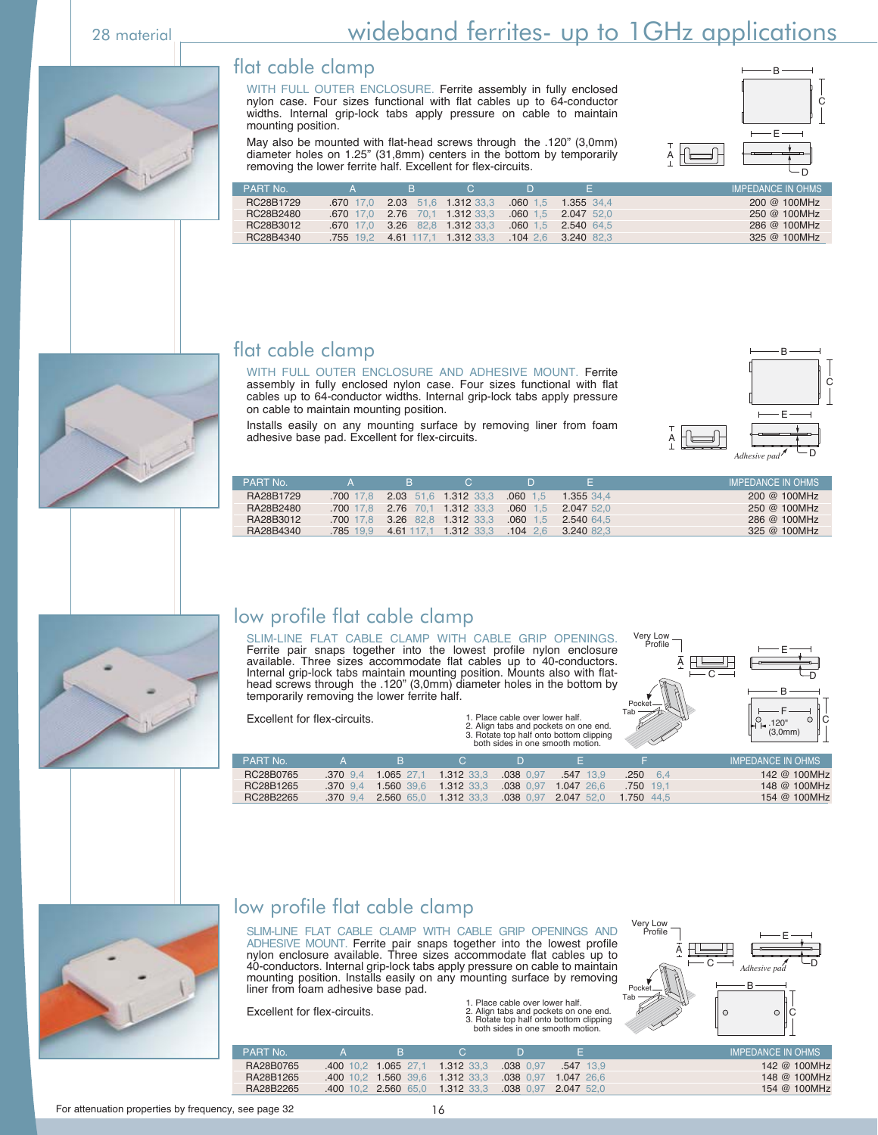#### flat cable clamp

WITH FULL OUTER ENCLOSURE. Ferrite assembly in fully enclosed nylon case. Four sizes functional with flat cables up to 64-conductor widths. Internal grip-lock tabs apply pressure on cable to maintain mounting position.

May also be mounted with flat-head screws through the .120" (3,0mm) diameter holes on 1.25" (31,8mm) centers in the bottom by temporarily removing the lower ferrite half. Excellent for flex-circuits.

|               | €               |
|---------------|-----------------|
|               |                 |
|               | $F \rightarrow$ |
| $A^{\dagger}$ |                 |
|               |                 |

| <b>PART No</b> |             | 'в.                   | C. |            |                     | <b>IMPEDANCE IN OHMS</b> |
|----------------|-------------|-----------------------|----|------------|---------------------|--------------------------|
| RC28B1729      | $.670$ 17.0 | 2.03 51.6 1.312 33.3  |    | $.060$ 1.5 | 1.355 34.4          | 200 @ 100MHz             |
| RC28B2480      | 670 17 0    | 2.76 70.1 1.312 33.3  |    | $.060$ 1.5 | 2.047 52.0          | 250 @ 100MHz             |
| RC28B3012      | .670 17.0   | 3.26 82.8 1.312 33.3  |    | $.060$ 1.5 | 2.540 64.5          | 286 @ 100MHz             |
| RC28B4340      | .755 19.2   | 4.61 117.1 1.312 33.3 |    |            | $.10426$ 3.240 82.3 | 325 @ 100MHz             |



#### flat cable clamp

WITH FULL OUTER ENCLOSURE AND ADHESIVE MOUNT. Ferrite assembly in fully enclosed nylon case. Four sizes functional with flat cables up to 64-conductor widths. Internal grip-lock tabs apply pressure on cable to maintain mounting position.

Installs easily on any mounting surface by removing liner from foam adhesive base pad. Excellent for flex-circuits.



| <b>PART No</b> | -4        | в. | <b>C</b>                      |            |                       | LIMPEDANCE IN OHMS' |
|----------------|-----------|----|-------------------------------|------------|-----------------------|---------------------|
| RA28B1729      |           |    | 700 17.8 2.03 51.6 1.312 33.3 | $.060$ 1.5 | 1.355 34.4            | $200 \ @ \ 100MHz$  |
| RA28B2480      |           |    | 700 17.8 2.76 70.1 1.312 33.3 | $.060$ 1.5 | 2.047 52.0            | 250 @ 100MHz        |
| RA28B3012      | .700 17.8 |    | 3.26 82.8 1.312 33.3          | $.060$ 1.5 | 2.540 64.5            | 286 @ 100MHz        |
| RA28B4340      | .785 19.9 |    | 4.61 117.1 1.312 33.3         |            | $.104$ 2.6 3.240 82.3 | 325 @ 100MHz        |
|                |           |    |                               |            |                       |                     |



### low profile flat cable clamp

SLIM-LINE FLAT CABLE CLAMP WITH CABLE GRIP OPENINGS. Ferrite pair snaps together into the lowest profile nylon enclosure available. Three sizes accommodate flat cables up to 40-conductors. Internal grip-lock tabs maintain mounting position. Mounts also with flathead screws through the .120" (3,0mm) diameter holes in the bottom by temporarily removing the lower ferrite half.

Excellent for flex-circuits.

1. Place cable over lower half. 2. Align tabs and pockets on one end. 3. Rotate top half onto bottom clipping both sides in one smooth motion.



|           | DOIN SIGES IN ONE SHOOTH MOTOR.<br><u>the contract of the contract of the contract of the contract of the contract of the contract of the contract of the contract of the contract of the contract of the contract of the contract of the contract of the contract </u> |              |            |             |             |                  |                   |  |  |
|-----------|-------------------------------------------------------------------------------------------------------------------------------------------------------------------------------------------------------------------------------------------------------------------------|--------------|------------|-------------|-------------|------------------|-------------------|--|--|
| PART No.  |                                                                                                                                                                                                                                                                         | в.           |            |             |             |                  | IMPEDANCE IN OHMS |  |  |
| RC28B0765 | 370 94                                                                                                                                                                                                                                                                  | $1.065$ 27.1 | 1.312 33.3 | $.038$ 0.97 | $.547$ 13.9 | $.250 \quad 6.4$ | 142 @ 100MHz      |  |  |
| RC28B1265 | $.370$ 9.4                                                                                                                                                                                                                                                              | 1.560 39.6   | 1.312 33.3 | .038 0.97   | 1.047 26.6  | .750 19.1        | 148 @ 100MHz      |  |  |
| RC28B2265 | $.370$ 9.4                                                                                                                                                                                                                                                              | 2.560 65.0   | 1.312 33.3 | .038 0.97   | 2.047 52.0  | 1.750 44.5       | 154 @ 100MHz      |  |  |



### low profile flat cable clamp

SLIM-LINE FLAT CABLE CLAMP WITH CABLE GRIP OPENINGS AND ADHESIVE MOUNT. Ferrite pair snaps together into the lowest profile nylon enclosure available. Three sizes accommodate flat cables up to 40-conductors. Internal grip-lock tabs apply pressure on cable to maintain mounting position. Installs easily on any mounting surface by removing liner from foam adhesive base pad.

Excellent for flex-circuits.

1. Place cable over lower half. 2. Align tabs and pockets on one end. 3. Rotate top half onto bottom clipping both sides in one smooth motion.



| <b>PART No.</b> |                     |            |             |             | IMPEDANCE IN OHMS |
|-----------------|---------------------|------------|-------------|-------------|-------------------|
| RA28B0765       | 400 10.2 1.065 27.1 | 1.312 33.3 | $.038$ 0.97 | $.547$ 13.9 | 142 @ 100MHz      |
| RA28B1265       | 400 10.2 1.560 39.6 | 1.312 33.3 | 038 0.97    | 1.047 26.6  | 148 @ 100MHz      |
| RA28B2265       | 400 10.2 2.560 65.0 | 1.312 33.3 | $.038$ 0.97 | 2.047 52.0  | 154 @ 100MHz      |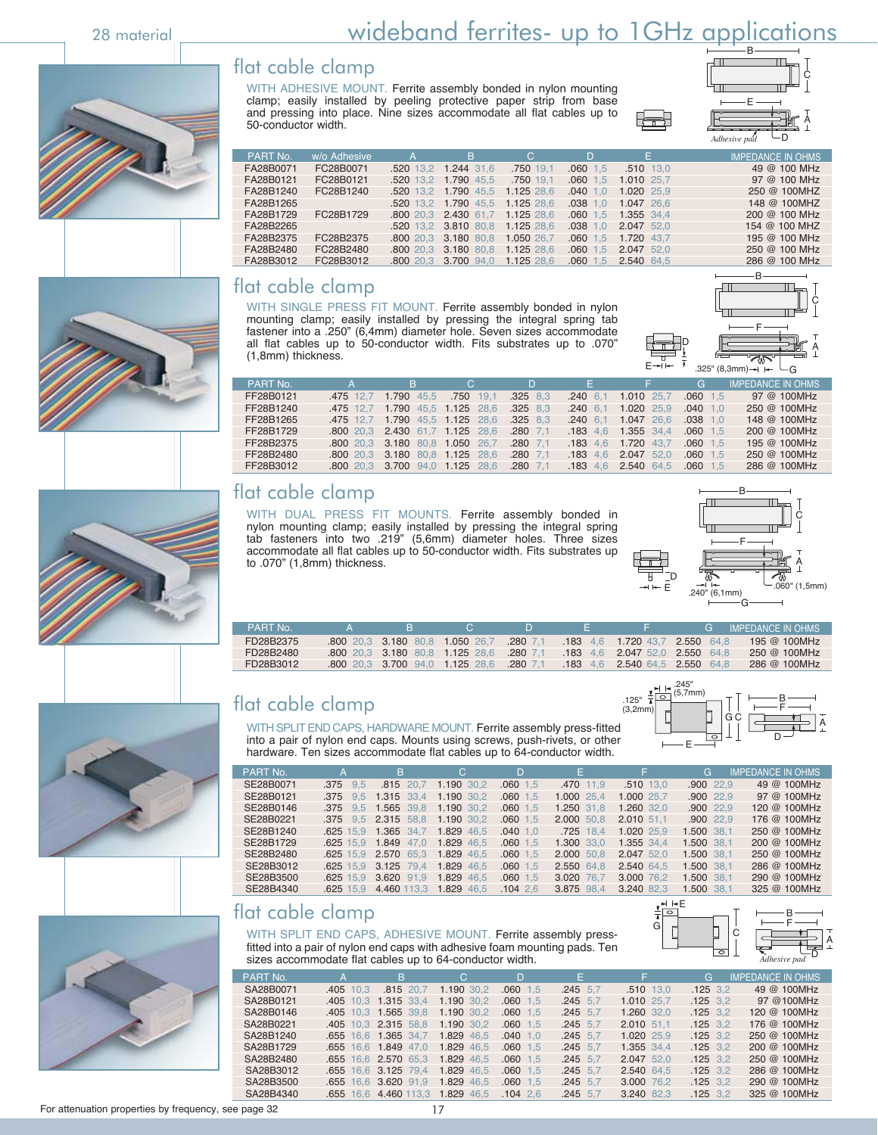# 28 material <u>Constants and wideband ferrites- up to 1GHz applications</u>

### flat cable clamp

WITH ADHESIVE MOUNT. Ferrite assembly bonded in nylon mounting clamp; easily installed by peeling protective paper strip from base and pressing into place. Nine sizes accommodate all flat cables up to 50-conductor width.



| PART No.  | w/o Adhesive | A | B.                              | C.         | D          | E.          | <b>IMPEDANCE IN OHMS</b> |
|-----------|--------------|---|---------------------------------|------------|------------|-------------|--------------------------|
| FA28B0071 | FC28B0071    |   | .520 13.2 1.244 31.6            | .750 19.1  | $.060$ 1.5 | $.510$ 13.0 | 49 @ 100 MHz             |
| FA28B0121 | FC28B0121    |   | .520 13.2 1.790 45.5            | .750 19.1  | $.060$ 1.5 | 1.010 25.7  | 97 @ 100 MHz             |
| FA28B1240 | FC28B1240    |   | .520 13.2 1.790 45.5            | 1.125 28.6 | $.040$ 1.0 | 1.020 25.9  | 250 @ 100MHZ             |
| FA28B1265 |              |   | .520 13.2 1.790 45.5 1.125 28.6 |            | $.038$ 1.0 | 1.047 26.6  | 148 @ 100MHZ             |
| FA28B1729 | FC28B1729    |   | .800 20.3 2.430 61.7            | 1.125 28.6 | $.060$ 1.5 | 1.355 34.4  | 200 @ 100 MHz            |
| FA28B2265 |              |   | .520 13.2 3.810 80.8            | 1.125 28.6 | $.038$ 1.0 | 2.047 52.0  | 154 @ 100 MHZ            |
| FA28B2375 | FC28B2375    |   | 800 20.3 3.180 80.8             | 1.050 26.7 | $.060$ 1.5 | 1.720 43.7  | 195 @ 100 MHz            |
| FA28B2480 | FC28B2480    |   | 800 20.3 3.180 80.8             | 1.125 28.6 | $.060$ 1.5 | 2.047 52.0  | 250 @ 100 MHz            |
| FA28B3012 | FC28B3012    |   | .800 20.3 3.700 94.0            | 1.125 28.6 | $.060$ 1.5 | 2.540 64.5  | 286 @ 100 MHz            |

#### flat cable clamp

WITH SINGLE PRESS FIT MOUNT. Ferrite assembly bonded in nylon mounting clamp; easily installed by pressing the integral spring tab fastener into a .250" (6,4mm) diameter hole. Seven sizes accommodate all flat cables up to 50-conductor width. Fits substrates up to .070" (1,8mm) thickness.



|           |    |                                          |    |    |                              |            | $-325$ " (8,3mm) $\rightarrow$ $\leftarrow$ $\leftarrow$ G |
|-----------|----|------------------------------------------|----|----|------------------------------|------------|------------------------------------------------------------|
| PART No.  | B. | C.                                       | D. | F. |                              | G.         | <b>IMPEDANCE IN OHMS</b>                                   |
| FF28B0121 |    | .475 12.7 1.790 45.5 .750 19.1 .325 8.3  |    |    | .240 6.1 1.010 25.7          | $.060$ 1.5 | 97 @ 100MHz                                                |
| FF28B1240 |    | 475 12,7 1.790 45,5 1.125 28,6 .325 8,3  |    |    | .240 6.1 1.020 25.9          | $.040$ 1.0 | 250 @ 100MHz                                               |
| FF28B1265 |    | 475 12,7 1.790 45,5 1.125 28,6 .325 8,3  |    |    | .240 6.1 1.047 26.6          | $.038$ 1.0 | 148 @ 100MHz                                               |
| FF28B1729 |    | .800 20.3 2.430 61.7 1.125 28.6 .280 7.1 |    |    | .183 4.6 1.355 34.4 .060 1.5 |            | 200 @ 100MHz                                               |
| FF28B2375 |    | .800 20.3 3.180 80.8 1.050 26.7 .280 7.1 |    |    | 183 4.6 1.720 43.7           | $.060$ 1.5 | 195 @ 100MHz                                               |
| FF28B2480 |    | .800 20.3 3.180 80.8 1.125 28.6 .280 7.1 |    |    | 183 4.6 2.047 52.0           | $.060$ 1.5 | 250 @ 100MHz                                               |
| FF28B3012 |    | 800 20 3 3 700 940 1 125 28 6 280 71     |    |    | 183 46 2540 645 060 15       |            | 286 @ 100MHz                                               |

### flat cable clamp

WITH DUAL PRESS FIT MOUNTS. Ferrite assembly bonded in nylon mounting clamp; easily installed by pressing the integral spring tab fasteners into two .219" (5,6mm) diameter holes. Three sizes accommodate all flat cables up to 50-conductor width. Fits substrates up to .070" (1,8mm) thickness.



| FD28B3012 | <b>800</b> 20.3 <b>3.700</b> 94.0 <b>1.125</b> 28.6 <b>.280</b> 7.1 <b>.183</b> 4.6 <b>2.540</b> 64.5 <b>2.550</b> 64.8 |  |  |                                                                        | 286 @ 100MHz |
|-----------|-------------------------------------------------------------------------------------------------------------------------|--|--|------------------------------------------------------------------------|--------------|
| FD28B2480 | 800 20.3 3.180 80.8 1.125 28.6 .280 7.1 .183 4.6 2.047 52.0 2.550 64.8                                                  |  |  |                                                                        | 250 @ 100MHz |
| FD28B2375 |                                                                                                                         |  |  | 800 20.3 3.180 80.8 1.050 26.7 .280 7.1 .183 4.6 1.720 43.7 2.550 64.8 | 195 @ 100MHz |

PART No. A B C D E F G IMPEDANCE IN OHMS

## flat cable clamp



WITH SPLIT END CAPS, HARDWARE MOUNT. Ferrite assembly press-fitted into a pair of nylon end caps. Mounts using screws, push-rivets, or other hardware. Ten sizes accommodate flat cables up to 64-conductor width.

| PART No.  | TA.          | B.                              | C.         | D.         | F.           | F.          | G           | <b>IMPEDANCE IN OHMS</b> |
|-----------|--------------|---------------------------------|------------|------------|--------------|-------------|-------------|--------------------------|
| SE28B0071 | $.375$ $9.5$ | .815 20.7                       | 1.190 30.2 | $.060$ 1.5 | .470 11.9    | $.510$ 13.0 | $.900$ 22.9 | 49 @ 100MHz              |
| SE28B0121 | .375 9.5     | 1.315 33.4                      | 1.190 30.2 | $.060$ 1.5 | $1.000$ 25,4 | 1.000 25.7  | $.900$ 22.9 | 97 @ 100MHz              |
| SE28B0146 | $.375$ $9.5$ | 1.565 39.8                      | 1.190 30.2 | $.060$ 1.5 | 1.250 31.8   | 1.260 32.0  | $.900$ 22.9 | 120 @ 100MHz             |
| SE28B0221 |              | .375 9.5 2.315 58.8 1.190 30.2  |            | $.060$ 1.5 | 2.000 50.8   | 2.010 51.1  | $.900$ 22.9 | 176 @ 100MHz             |
| SE28B1240 |              | .625 15.9 1.365 34.7            | 1.829 46.5 | $.040$ 1.0 | .725 18.4    | 1.020 25.9  | 1.500 38.1  | 250 @ 100MHz             |
| SE28B1729 |              | .625 15.9 1.849 47.0 1.829 46.5 |            | $.060$ 1.5 | 1.300 33.0   | 1.355 34.4  | 1.500 38.1  | 200 @ 100MHz             |
| SE28B2480 | $.625$ 15.9  | 2.570 65.3 1.829 46.5           |            | $.060$ 1.5 | 2.000 50.8   | 2.047 52.0  | 1.500 38,1  | 250 @ 100MHz             |
| SE28B3012 | $.625$ 15.9  | 3.125 79.4                      | 1.829 46.5 | $.060$ 1.5 | 2.550 64.8   | 2.540 64.5  | 1.500 38.1  | 286 @ 100MHz             |
| SE28B3500 | $.625$ 15.9  | 3.620 91.9                      | 1.829 46.5 | $.060$ 1.5 | 3.020 76.7   | 3.000 76.2  | 1.500 38.1  | 290 @ 100MHz             |
| SE28B4340 | $.625$ 15.9  | 4.460 113.3 1.829 46.5          |            | .10426     | 3.875 98.4   | 3.240 82.3  | 1.500 38.1  | 325 @ 100MHz             |

### flat cable clamp

WITH SPLIT END CAPS, ADHESIVE MOUNT. Ferrite assembly pressfitted into a pair of nylon end caps with adhesive foam mounting pads. Ten sizes accommodate flat cables up to 64-conductor width.

| PART No.  | A           | ΙB ,                            | C          | D.         | F.         | F.          | G          | <b>IMPEDANCE IN OHMS</b> |
|-----------|-------------|---------------------------------|------------|------------|------------|-------------|------------|--------------------------|
| SA28B0071 | $.405$ 10.3 | $.815$ 20.7                     | 1.190 30.2 | $.060$ 1.5 | $.245$ 5.7 | $.510$ 13.0 | $.125$ 3.2 | 49 @ 100MHz              |
| SA28B0121 |             | 405 10.3 1.315 33.4             | 1.190 30.2 | $.060$ 1.5 | $.245$ 5.7 | 1.010 25.7  | $.125$ 3.2 | 97 @100MHz               |
| SA28B0146 |             | 405 10.3 1.565 39.8             | 1.190 30.2 | $.060$ 1.5 | $.245$ 5.7 | 1.260 32.0  | $.125$ 3.2 | 120 @ 100MHz             |
| SA28B0221 |             | 405 10.3 2.315 58.8             | 1.190 30.2 | $.060$ 1.5 | $.245$ 5.7 | 2.010 51.1  | $.125$ 3.2 | 176 @ 100MHz             |
| SA28B1240 |             | .655 16.6 1.365 34.7            | 1.829 46.5 | $.040$ 1.0 | $.245$ 5.7 | 1.020 25.9  | $.125$ 3.2 | 250 @ 100MHz             |
| SA28B1729 |             | .655 16.6 1.849 47.0            | 1.829 46.5 | $.060$ 1.5 | $.245$ 5.7 | 1.355 34.4  | $.125$ 3.2 | 200 @ 100MHz             |
| SA28B2480 |             | 655 16.6 2.570 65.3 1.829 46.5  |            | $.060$ 1.5 | $.245$ 5.7 | 2.047 52.0  | $.125$ 3.2 | 250 @ 100MHz             |
| SA28B3012 |             | .655 16.6 3.125 79.4            | 1.829 46.5 | $.060$ 1.5 | $.245$ 5.7 | 2.540 64.5  | $.125$ 3.2 | 286 @ 100MHz             |
| SA28B3500 |             | 655 16.6 3.620 91.9             | 1.829 46.5 | $.060$ 1.5 | $.245$ 5.7 | 3.000 76.2  | $.125$ 3.2 | 290 @ 100MHz             |
| SA28B4340 |             | 655 16.6 4.460 113.3 1.829 46.5 |            | $.104$ 2.6 | $.245$ 5.7 | 3.240 82.3  | $.125$ 3.2 | 325 @ 100MHz             |















D A

G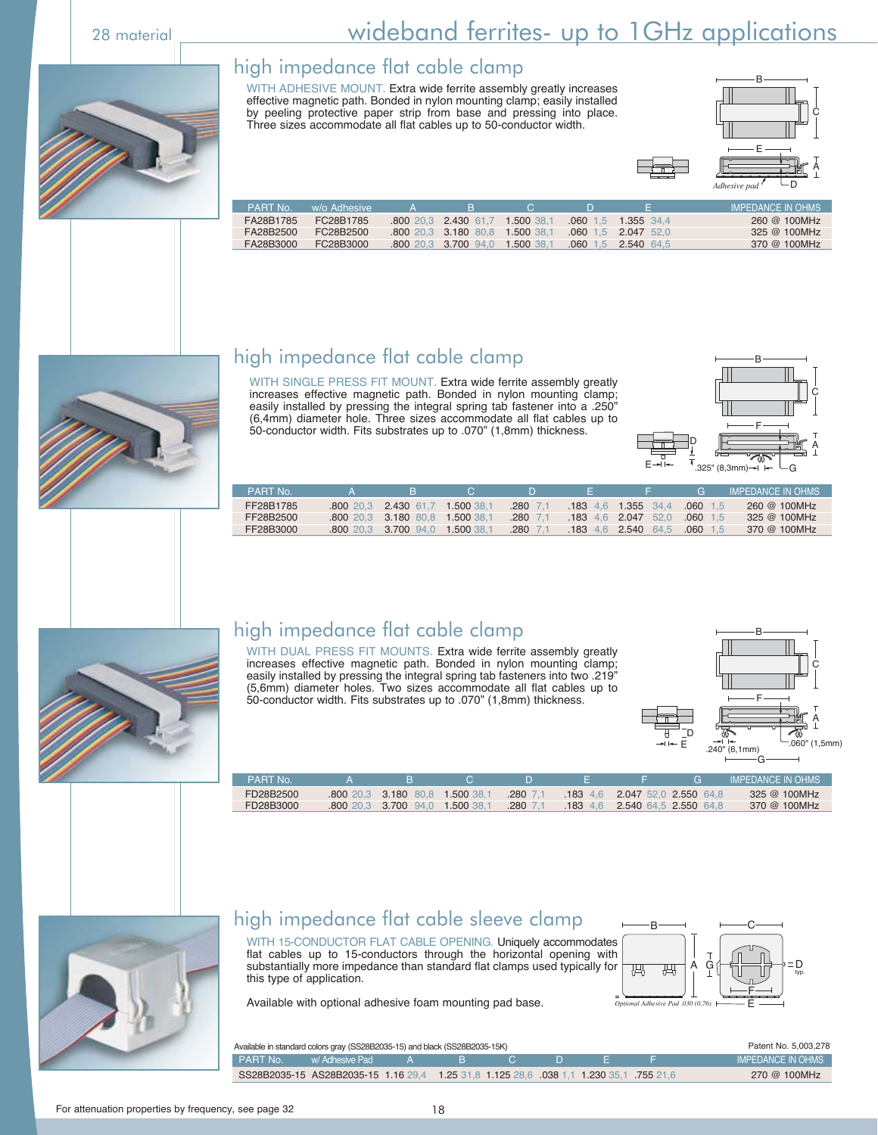# 28 material <u>Constants and wideband ferrites- up to 1GHz applications</u>

#### high impedance flat cable clamp

WITH ADHESIVE MOUNT. Extra wide ferrite assembly greatly increases effective magnetic path. Bonded in nylon mounting clamp; easily installed by peeling protective paper strip from base and pressing into place. Three sizes accommodate all flat cables up to 50-conductor width.



| <b>PART No.</b> | w/o Adhesiye | ≺∸ | н.                              |  |                       | <b>IMPEDANCE IN OHMS</b> |
|-----------------|--------------|----|---------------------------------|--|-----------------------|--------------------------|
| FA28B1785       | FC28B1785    |    | 800 20.3 2.430 61.7 1.500 38.1  |  | 060 1.5 1.355 34.4    | 260 @ 100MHz             |
| FA28B2500       | EC28B2500    |    | .800 20.3 3.180 80.8 1.500 38.1 |  | $.060$ 1.5 2.047 52.0 | 325 @ 100MHz             |
| FA28B3000       | FC28B3000    |    | 800 20.3 3.700 94.0 1.500 38.1  |  | 060 1.5 2.540 64.5    | 370 @ 100MHz             |



## high impedance flat cable clamp

WITH SINGLE PRESS FIT MOUNT. Extra wide ferrite assembly greatly increases effective magnetic path. Bonded in nylon mounting clamp; easily installed by pressing the integral spring tab fastener into a .250" (6,4mm) diameter hole. Three sizes accommodate all flat cables up to 50-conductor width. Fits substrates up to .070" (1,8mm) thickness.



| <b>PART No</b> |                                |            |              |                       | <b>C</b>   | <b>IMPEDANCE IN OHMS</b> |
|----------------|--------------------------------|------------|--------------|-----------------------|------------|--------------------------|
| FF28B1785      | 800 20.3 2.430 61.7            | 1.500 38.1 | $.280$ 7.1   | $.183$ 4.6 1.355 34.4 | $.060$ 1.5 | 260 @ 100MHz             |
| FF28B2500      | 800 20.3 3.180 80.8 1.500 38.1 |            | $.280 - 7.1$ | 183 4.6 2.047 52.0    | $.060$ 1.5 | 325 @ 100MHz             |
| FF28B3000      | 800 20.3 3.700 94.0            | 1.500 38.1 | $.280$ 7.1   | 183 4.6 2.540 64.5    | .060<br>15 | 370 @ 100MHz             |



### high impedance flat cable clamp

WITH DUAL PRESS FIT MOUNTS. Extra wide ferrite assembly greatly increases effective magnetic path. Bonded in nylon mounting clamp; easily installed by pressing the integral spring tab fasteners into two .219" (5,6mm) diameter holes. Two sizes accommodate all flat cables up to 50-conductor width. Fits substrates up to .070" (1,8mm) thickness.



| <b>PART No.</b> |                                 |              |                                 | G | <b>IMPEDANCE IN OHMS</b> |
|-----------------|---------------------------------|--------------|---------------------------------|---|--------------------------|
| FD28B2500       | .800 20.3 3.180 80.8 1.500 38.1 | $.280\,7.1$  | $183$ 4.6 2.047 52.0 2.550 64.8 |   | 325 @ 100MHz             |
| FD28B3000       | .800 20.3 3.700 94.0 1.500 38.  | $.280$ $7.1$ | 183 4.6 2.540 64.5 2.550 64.8   |   | 370 @ 100MHz             |



## high impedance flat cable sleeve clamp

WITH 15-CONDUCTOR FLAT CABLE OPENING. Uniquely accommodates flat cables up to 15-conductors through the horizontal opening with substantially more impedance than standard flat clamps used typically for this type of application.

Available with optional adhesive foam mounting pad base.



| Available in standard colors gray (SS28B2035-15) and black (SS28B2035-15K)                      | Patent No. 5,003,278   |  |  |  |                   |
|-------------------------------------------------------------------------------------------------|------------------------|--|--|--|-------------------|
| PART No.                                                                                        | N w/Adhesive Pad A B N |  |  |  | IMPEDANCE IN OHMS |
| 61.6 755 1.1 1.230 35.1 8828B2035-15 1.16 29.4 1.25 31.8 1.125 28.6 038 1.1 1.230 35.1 755 21.6 |                        |  |  |  | 270 @ 100MHz      |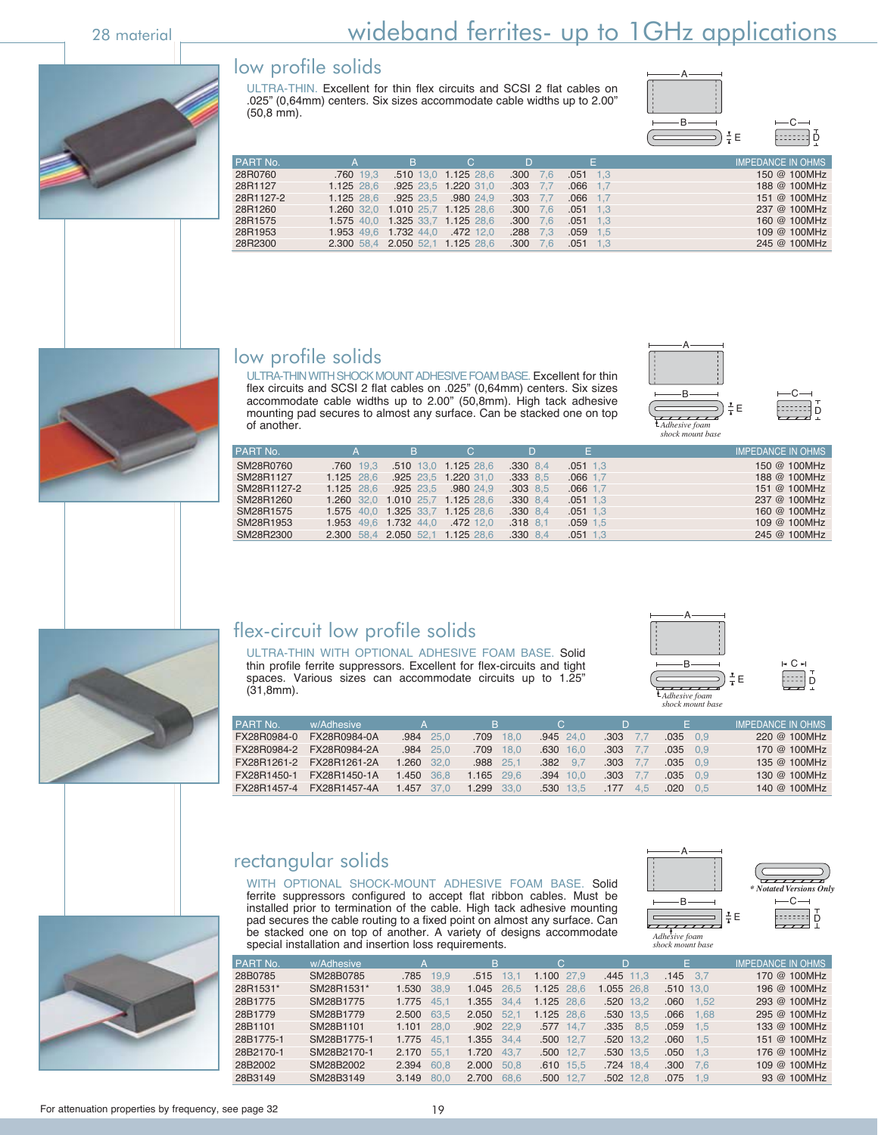# 28 material <u>Constants and the wideband ferrites- up to 1GHz applications</u>

#### low profile solids

ULTRA-THIN. Excellent for thin flex circuits and SCSI 2 flat cables on .025" (0,64mm) centers. Six sizes accommodate cable widths up to 2.00" (50,8 mm).



28 1.5 1.959 1.5 1.853 1.853 1.953 1.953 1.953 1.953 1.953 1.953 1.953 1.953 1.953 1.953 1.953 1.953 1.953 1.<br>245 @ 100MHz  $245@100MHz$ 

| Е | ņ<br>≕ |
|---|--------|

|                |            |                                 |                                  |              |                                                                                                                                                                                                                                                                                                                                                                                   | . 17              |
|----------------|------------|---------------------------------|----------------------------------|--------------|-----------------------------------------------------------------------------------------------------------------------------------------------------------------------------------------------------------------------------------------------------------------------------------------------------------------------------------------------------------------------------------|-------------------|
| PART No.       |            |                                 | C.                               |              |                                                                                                                                                                                                                                                                                                                                                                                   | IMPEDANCE IN OHMS |
| 28R0760        | .760 19.3  |                                 | .510 13,0 1.125 28,6             | $.300$ 7.6   | $.051$ 1.3                                                                                                                                                                                                                                                                                                                                                                        | 150 @ 100MHz      |
| 28R1127        | 1.125 28.6 |                                 | .925 23,5 1.220 31,0             | $.303$ 7.7   | $.066$ 1.7                                                                                                                                                                                                                                                                                                                                                                        | 188 @ 100MHz      |
| 28R1127-2      | 1.125 28.6 |                                 | 925 23.5 .980 24.9               | $.303$ $7.7$ | $.066$ 1.7                                                                                                                                                                                                                                                                                                                                                                        | 151 @ 100MHz      |
| 28R1260        |            |                                 | 1.260 32,0 1.010 25,7 1.125 28,6 | $.300$ 7.6   | $.051$ 1.3                                                                                                                                                                                                                                                                                                                                                                        | 237 @ 100MHz      |
| 28R1575        |            |                                 | 1.575 40.0 1.325 33.7 1.125 28.6 | $.300$ 7.6   | $.051$ 1.3                                                                                                                                                                                                                                                                                                                                                                        | 160 @ 100MHz      |
| 28R1953        |            | 1.953 49.6 1.732 44.0 .472 12.0 |                                  | $.288$ 7.3   | $.059$ 1.5                                                                                                                                                                                                                                                                                                                                                                        | 109 @ 100MHz      |
| <b>ORROROO</b> |            | 230058420505211125286           |                                  | 300 76       | $\bigcap$ $\bigcap$ $\bigcap$ $\bigcap$ $\bigcap$ $\bigcap$ $\bigcap$ $\bigcap$ $\bigcap$ $\bigcap$ $\bigcap$ $\bigcap$ $\bigcap$ $\bigcap$ $\bigcap$ $\bigcap$ $\bigcap$ $\bigcap$ $\bigcap$ $\bigcap$ $\bigcap$ $\bigcap$ $\bigcap$ $\bigcap$ $\bigcap$ $\bigcap$ $\bigcap$ $\bigcap$ $\bigcap$ $\bigcap$ $\bigcap$ $\bigcap$ $\bigcap$ $\bigcap$ $\bigcap$ $\bigcap$ $\bigcap$ | $245$ @ 100MHz    |



ULTRA-THIN WITH SHOCK MOUNT ADHESIVE FOAM BASE. Excellent for thin flex circuits and SCSI 2 flat cables on .025" (0,64mm) centers. Six sizes accommodate cable widths up to 2.00" (50,8mm). High tack adhesive mounting pad secures to almost any surface. Can be stacked one on top of another.





| PART No.    |                                  | B                                | C.                   | D            | E.         | <b>IMPEDANCE IN OHMS</b> |
|-------------|----------------------------------|----------------------------------|----------------------|--------------|------------|--------------------------|
| SM28R0760   | .760 19.3                        |                                  | .510 13.0 1.125 28.6 | $.330$ 8.4   | $.051$ 1.3 | 150 @ 100MHz             |
| SM28R1127   | $1.125$ 28.6                     |                                  | .925 23.5 1.220 31.0 | .33388.5     | $.066$ 1.7 | 188 @ 100MHz             |
| SM28R1127-2 | 1.125 28.6                       |                                  | 925 23.5 .980 24.9   | $.303$ 8.5   | $.066$ 1.7 | 151 @ 100MHz             |
| SM28R1260   |                                  | 1.260 32.0 1.010 25.7 1.125 28.6 |                      | $.330$ 8.4   | $.051$ 1.3 | 237 @ 100MHz             |
| SM28R1575   | 1.575 40.0 1.325 33.7 1.125 28.6 |                                  |                      | $.330$ 8.4   | $.051$ 1.3 | 160 @ 100MHz             |
| SM28R1953   |                                  | 1.953 49.6 1.732 44.0 .472 12.0  |                      | $.318$ $8.1$ | $.059$ 1.5 | 109 @ 100MHz             |
| SM28R2300   | 2.300 58.4 2.050 52.1 1.125 28.6 |                                  |                      | $.330$ 8.4   | $.051$ 1.3 | 245 @ 100MHz             |
|             |                                  |                                  |                      |              |            |                          |



## flex-circuit low profile solids

ULTRA-THIN WITH OPTIONAL ADHESIVE FOAM BASE. Solid thin profile ferrite suppressors. Excellent for flex-circuits and tight spaces. Various sizes can accommodate circuits up to 1.25" (31,8mm). *Adhesive foam*



|   | н Сн |
|---|------|
| Е | Ď    |
|   |      |

| PART No.    | w/Adhesive   | $\Delta$   | B.           | C.            |                    | F.          | <b>IMPEDANCE IN OHMS</b> |
|-------------|--------------|------------|--------------|---------------|--------------------|-------------|--------------------------|
| FX28R0984-0 | FX28R0984-0A | .984 25.0  | .709 18.0    | $.945$ 24.0   | .303               | .035<br>0.9 | 220 @ 100MHz             |
| FX28R0984-2 | FX28R0984-2A | .984 25.0  | .709<br>18.0 | $.630$ 16.0   | .303               | .035<br>09  | 170 @ 100MHz             |
| FX28R1261-2 | FX28R1261-2A | 1.260 32.0 | .988 25.1    | $.382$ $.9.7$ | .303<br>$\sqrt{2}$ | .035<br>0.9 | 135 @ 100MHz             |
| FX28R1450-1 | FX28R1450-1A | 1.450 36.8 | $1.165$ 29.6 | $.394$ 10.0   | .303<br>$\sqrt{2}$ | .035<br>0.9 | 130 @ 100MHz             |
| FX28R1457-4 | FX28R1457-4A | 1.457 37.0 | 1.299 33.0   | .530 13.5     | .177<br>4.5        | .020<br>05  | 140 @ 100MHz             |

 28B0785 SM28B0785 .785 19,9 .515 13,1 1.100 27,9 .445 11,3 .145 3,7 170 @ 100MHz 28R1531\* SM28R1531\* 1.530 38,9 1.045 26,5 1.125 28,6 1.055 26,8 .510 13,0 196 @ 100MHz 28B1775 SM28B1775 1.775 45,1 1.355 34,4 1.125 28,6 .520 13,2 .060 1,52 293 @ 100MHz 28B1779 SM28B1779 2.500 63,5 2.050 52,1 1.125 28,6 .530 13,5 .066 1,68 295 @ 100MHz 28B1101 SM28B1101 1.101 28,0 .902 22,9 .577 14,7 .335 8,5 .059 1,5 133 @ 100MHz 28B1775-1 SM28B1775-1 1.775 45,1 1.355 34,4 .500 12,7 .520 13,2 .060 1,5 151 @ 100MHz 28B2170-1 SM28B2170-1 2.170 55,1 1.720 43,7 .500 12,7 .530 13,5 .050 1,3 176 @ 100MHz 28B2002 SM28B2002 2.394 60,8 2.000 50,8 .610 15,5 .724 18,4 .300 7,6 109 @ 100MHz 28B3149 SM28B3149 3.149 80,0 2.700 68,6 .500 12,7 .502 12,8 .075 1,9 93 @ 100MHz

PART No. w/Adhesive A B C D E IMPEDANCE IN OHMS

#### rectangular solids

WITH OPTIONAL SHOCK-MOUNT ADHESIVE FOAM BASE. Solid ferrite suppressors configured to accept flat ribbon cables. Must be installed prior to termination of the cable. High tack adhesive mounting pad secures the cable routing to a fixed point on almost any surface. Can be stacked one on top of another. A variety of designs accommodate special installation and insertion loss requirements.



*Adhesive foam shock mount base*

|    | * Notated Versions Only |
|----|-------------------------|
| εE |                         |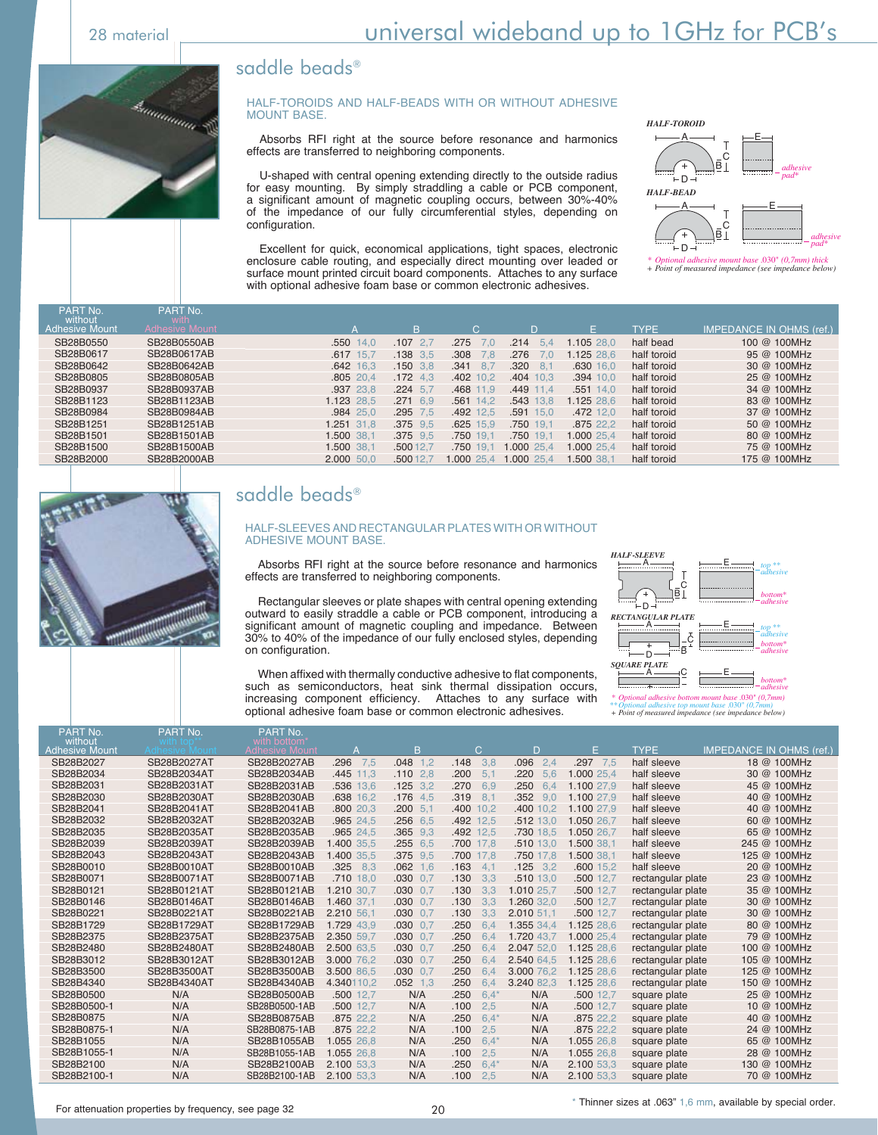#### saddle beads®



#### HALF-TOROIDS AND HALF-BEADS WITH OR WITHOUT ADHESIVE MOUNT BASE.

 Absorbs RFI right at the source before resonance and harmonics effects are transferred to neighboring components.

 U-shaped with central opening extending directly to the outside radius for easy mounting. By simply straddling a cable or PCB component, a significant amount of magnetic coupling occurs, between 30%-40% of the impedance of our fully circumferential styles, depending on configuration.

 Excellent for quick, economical applications, tight spaces, electronic enclosure cable routing, and especially direct mounting over leaded or surface mount printed circuit board components. Attaches to any surface with optional adhesive foam base or common electronic adhesives.



*\* + Optional adhesive mount base* .030" *(0,7mm) thick Point of measured impedance (see impedance below)*

| PART No.<br>without   | PART No.<br>with      |             |              |                |             |             |             |                                 |
|-----------------------|-----------------------|-------------|--------------|----------------|-------------|-------------|-------------|---------------------------------|
| <b>Adhesive Mount</b> | <b>Adhesive Mount</b> |             | B.           |                | D           | F           | <b>TYPE</b> | <b>IMPEDANCE IN OHMS (ref.)</b> |
| SB28B0550             | SB28B0550AB           | $.550$ 14.0 | $.107$ 2.7   | .275<br>7.0    | .214<br>5.4 | 1.105 28.0  | half bead   | 100 @ 100MHz                    |
| SB28B0617             | SB28B0617AB           | .617 15.7   | $.138$ 3.5   | .308<br>7.8    | .276<br>7.0 | 1.125 28.6  | half toroid | 95 @ 100MHz                     |
| SB28B0642             | SB28B0642AB           | $.642$ 16.3 | $.150$ 3.8   | .341<br>$-8.7$ | .320<br>8.1 | .630 16.0   | half toroid | 30 @ 100MHz                     |
| SB28B0805             | SB28B0805AB           | $.805$ 20.4 | $.172$ 4.3   | .402 10,2      | .404 10.3   | $.394$ 10.0 | half toroid | 25 @ 100MHz                     |
| SB28B0937             | SB28B0937AB           | .937 23.8   | $.224$ 5.7   | .468 11,9      | .449 11.4   | .551 14.0   | half toroid | 34 @ 100MHz                     |
| SB28B1123             | SB28B1123AB           | 1.123 28.5  | $.271$ 6.9   | .56114.2       | .543 13.8   | 1.125 28.6  | half toroid | 83 @ 100MHz                     |
| SB28B0984             | SB28B0984AB           | .984 25.0   | $.295$ 7.5   | .492 12.5      | .591 15.0   | .472 12.0   | half toroid | 37 @ 100MHz                     |
| SB28B1251             | SB28B1251AB           | 1.251 31.8  | $.375$ $9.5$ | $.625$ 15.9    | .750 19.1   | .875 22.2   | half toroid | 50 @ 100MHz                     |
| SB28B1501             | SB28B1501AB           | 1.500 38,1  | $.375$ $9.5$ | .750 19.1      | .750 19.1   | 1.000 25,4  | half toroid | 80 @ 100MHz                     |
| SB28B1500             | SB28B1500AB           | 1.500 38,1  | .500 12.7    | .750 19.1      | 1.000 25.4  | 1.000 25.4  | half toroid | 75 @ 100MHz                     |
| SB28B2000             | SB28B2000AB           | 2.000 50,0  | .500 12.7    | 1.000 25.4     | 1.000 25,4  | 1.500 38.1  | half toroid | 175 @ 100MHz                    |



## saddle beads®

#### HALF-SLEEVES AND RECTANGULAR PLATES WITH OR WITHOUT ADHESIVE MOUNT BASE.

Absorbs RFI right at the source before resonance and harmonics effects are transferred to neighboring components.

 Rectangular sleeves or plate shapes with central opening extending outward to easily straddle a cable or PCB component, introducing a significant amount of magnetic coupling and impedance. Between 30% to 40% of the impedance of our fully enclosed styles, depending on configuration.

 When affixed with thermally conductive adhesive to flat components, such as semiconductors, heat sink thermal dissipation occurs, increasing component efficiency. Attaches to any surface with optional adhesive foam base or common electronic adhesives.



SB28B2027AB .296 7,5 .048 1,2 .148 3,8 .096 2,4 .297 7,5 half sleeve 18 @ 100MHz SB28B2034AB .445 11,3 .110 2,8 .200 5,1 .220 5,6 1.000 25,4 half sleeve 30 @ 100MHz SB28B2031AB .536 13,6 .125 3,2 .270 6,9 .250 6,4 1.100 27,9 half sleeve 45 @ 100MHz SB28B2030AB .638 16,2 .176 4,5 .319 8,1 .352 9,0 1.100 27,9 half sleeve 40 @ 100MHz<br>SB28B2041AB .800 20,3 .200 5,1 .400 10,2 .400 10,2 1.100 27,9 half sleeve 40 @ 100MHz SB28B2041AB .800 20,3 .200 5,1 .400 10,2 .400 10,2 1.100 27,9 half sleeve 40 @ 100MHz<br>SB28B2032AB .965 24,5 .256 6,5 .492 12,5 .512 13,0 1.050 26,7 half sleeve 60 @ 100MHz SB28B2032AB SB28B2035AB .965 24,5 .365 9,3 .492 12,5 .730 18,5 1.050 26,7 half sleeve 65 @ 100MHz<br>SB28B2039AB 1.400 35,5 .255 6,5 .700 17,8 .510 13,0 1.500 38,1 half sleeve 245 @ 100MHz SB28B2039AB 1.400 35,5 .255 6,5 .700 17,8 .510 13,0 1.500 38,1 half sleeve 245 @ 100MHz<br>SB28B2043AB 1.400 35,5 .375 9,5 .700 17,8 .750 17,8 1.500 38,1 half sleeve 125 @ 100MHz SB28B2043AB 1.400 35,5 .375 9,5 .700 17,8 .750 17,8 1.500 38,1 half sleeve 125 @ 100MHz SB28B0010AB .325 8,3 .062 1,6 .163 4,1 .125 3,2 .600 15,2 half sleeve 20 @ 100MHz<br>SB28B0071AB .710 18.0 .030 0.7 .130 3.3 .510 13.0 .500 12.7 rectangular plate 23 @ 100MHz SB28 .510 13,0 .500 12,7 rectangular plate 23 @ 100MHz<br>3.3 1.010 25.7 .500 12.7 rectangular plate 35 @ 100MHz SB28B0121AB 1.210 30,7 .030 0,7 .130 3,3 1.010 25,7 .500 12,7 rectangular plate 35 @ 100MHz<br>SB28B0146AB 1.460 37,1 .030 0.7 .130 3,3 1.260 32,0 .500 12,7 rectangular plate 30 @ 100MHz SB28B0146AB 1.460 37,1 .030 0,7 .130 3,3 1.260 32,0 .500 12,7 rectangular plate 30 @ 100MHz<br>SB28B0221AB 2.210 56.1 .030 0.7 .130 3.3 .2.010 51.1 .500 12.7 rectangular plate 30 @ 100MHz SB2822012 51,1 .500 12,7 rectangular plate 30 @ 100MHz<br>SB280 6.4 1.355 34.4 1.125 28.6 rectangular plate 30 @ 100MHz SB28B1729AB 1.729 43,9 .030 0,7 .250 6,4 1.355 34,4 1.125 28,6 rectangular plate 80 @ 100MHz<br>SB28B2375AB 2.350 59,7 .030 0,7 .250 6,4 1.720 43,7 1.000 25,4 rectangular plate 79 @ 100MHz rectangular plate SB28B2480AB 2.500 63,5 .030 0,7 .250 6,4 2.047 52,0 1.125 28,6 rectangular plate 100 @ 100MHz<br>SB28B3012AB 3.000 76.2 .030 0.7 .250 6.4 2.540 64.5 1.125 28.6 rectangular plate 105 @ 100MHz SB28B3012AB 3.000 76,2 .030 0,7 .250 6,4 2.540 64,5 1.125 28,6 rectangular plate 105 @ 100MHz<br>SB28B3500AB 3.500 86,5 .030 0,7 .250 6,4 3.000 76,2 1.125 28,6 rectangular plate 125 @ 100MHz SB28B3500AB 3.500 86,5 .030 0,7 .250 6,4 3.000 76,2 1.125 28,6 rectangular plate 125 @ 100MHz<br>SB28B4340AB 4.340110,2 .052 1,3 .250 6,4 3.240 82,3 1.125 28,6 rectangular plate 150 @ 100MHz 1.340110,2 .052 1,3 .250 6,4 3.240 82,3 1.125 28,6 rectangular plate 150 @ 100MHz<br>.500 12,7 N/A .250 6,4\* N/A .500 12,7 square plate 25 @ 100MHz SB28B0500AB .500 12,7 N/A .250 6,4\* N/A .500 12,7 square plate <br>SB28B0500-1AB .500 12,7 N/A .100 2,5 N/A .500 12,7 square plate SB28B0500-1AB .500 12,7 N/A .100 2,5 N/A .500 12,7 square plate 10 @ 100MHz<br>SB28B0875AB .875 22,2 N/A .250 6,4\* N/A .875 22,2 square plate 40 @ 100MHz SB28B0875AB .875 22,2 N/A .250 6,4\* N/A .875 22,2 square plate 40 @ 100MHz SB28B0875-1AB .875 22,2 N/A .100 2,5 N/A .875 22,2 square plate 24 @ 100MHz<br>SB28B1055AB 1.055 26,8 N/A .250 6,4\* N/A 1.055 26,8 square plate 65 @ 100MHz SB28B1055AB 1.055 26,8 N/A .250 6,4\* N/A 1.055 26,8 square plate 65 @ 100MHz<br>SB28B1055-1AB 1.055 26,8 N/A .100 2,5 N/A 1.055 26,8 square plate 28 @ 100MHz SB28B1055-1AB 1.055 26,8 N/A .100 2,5 N/A 1.055 26,8 square plate 28 @ 100MHz SB28B2100AB 2.100 53,3 N/A .250 6,4\* N/A 2.100 53,3 square plate 130 @ 100MHz SB28B2027 SB28B2027AT<br>SB28B2034 SB28B2034AT SB28B2034 SB28B2034AT<br>SB28B2031 SB28B2031AT SB28B2031 SB28B2031AT SB28B2030 SB28B2030AT<br>SB28B2041 SB28B2041AT SB28B2041AT SB28B2032 SB28B2032AT<br>SB28B2035 SB28B2035AT SB28B2035 SB28B2035AT<br>SB28B2039 SB28B2039AT SB28B2039 SB28B2039AT<br>SB28B2043 SB28B2043AT SB28B2043 SB28B2043AT<br>SB28B0010 SB28B0010AT SB28B0010 SB28B0010AT<br>SB28B0071 SB28B0071AT SB28B0071 SB28B0071AT SB28B0121 SB28B0121AT<br>SB28B0146 SB28B0146AT SB28B0146 SB28B0146AT<br>SB28B0221 SB28B0221AT SB28B0221AT SB28B1729 SB28B1729AT SB28B2375 SB28B2375AT SB28B2480 SB28B2480AT<br>SB28B3012 SB28B3012AT SB28B3012 SB28B3012AT<br>SB28B3500 SB28B3500AT SB28B3500 SB28B3500AT<br>SB28B4340 SB28B4340AT SB28B4340AT SB28B0500 N/A<br>SB28B0500-1 N/A SB28B0500-1 N/A<br>SB28B0875 N/A SB28B0875 N/A<br>SB28B0875-1 N/A SB28B0875-1 N/A<br>SB28B1055 N/A SB28B1055 SB28B1055-1 N/A<br>SB28B2100 N/A SB28B2100 SB28B2100-1 N/A PART No. B C D E TYPE IMPEDANCE IN OHMS (ref.) ART No. PART No. ithout<br>ive Moun Adhesive Mount Adhesive Mount

SB28B2100-1AB 2.100 53,3 N/A .100 2,5 N/A 2.100 53,3 square plate 70 @ 100MHz